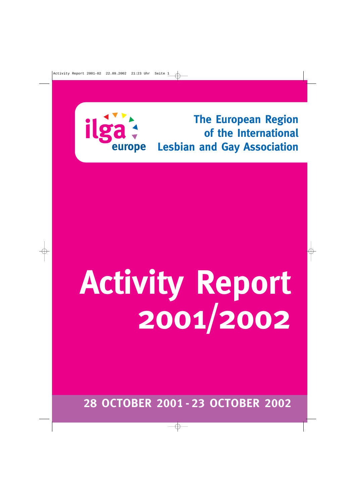

**The European Region of the International Lesbian and Gay Association**

# **Activity Report 2001/2002**

**28 OCTOBER 2001-23 OCTOBER 2002**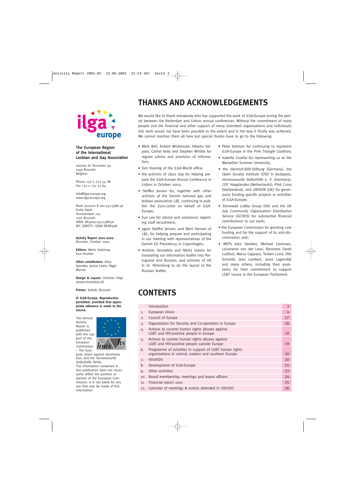

#### **The European Region of the International Lesbian and Gay Association**

avenue de Tervueren 94 1040 Brussels Belgium

Phone +32-2 732 54 88 Fax +32-2 732 51 64

info@ilga-europe.org www.ilga-europe.org

Bank account # 001-3523388-36 Fortis Bank Tervurenlaan 124 1150 Brussels IBAN: BE46001352338836 BIC (SWIFT): GEBA BEBB36A

**Activity Report 2001-2002** Brussels, October 2002

**Editors:** Mette Vadstrup, Kurt Krickler

**Other contributors:** Ailsa Spindler, Jackie Lewis, Nigel Warner

**Design & Layout:** Christian Högl (www.creativbox.at)

**Printer:** Sofadi, Brussels

**© ILGA-Europe. Reproduction permitted, provided that appropriate reference is made to the source.**

This Annual Activity Report is published with the support of the European Commission – The Euro-

information.



pean Union against discrimination, and the Homosexuelle Selbsthilfe, Berlin. The information contained in this publication does not necessarily reflect the position or opinion of the European Commission. It is not liable for any use that may be made of this

### **THANKS AND ACKNOWLEDGEMENTS**

We would like to thank everybody who has supported the work of ILGA-Europe during the period between the Rotterdam and Lisbon annual conferences. Without the commitment of many people and the financial and other support of many (member) organisations and individuals this work would not have been possible to the extent and in the way it finally was achieved. We cannot mention them all here but special thanks have to go to the following:

- Mark Bell, Robert Wintemute, Alberto Volpato, Cathal Kelly and Stephen Whittle for regular advice and provision of information;
- Tom Hoemig of the ILGA-World office;
- the activists of *Opus Gay* for helping prepare the ILGA-Europe Annual Conference in Lisbon in October 2002;
- Steffen Jensen for, together with other activists of the Danish national gay and lesbian association LBL, continuing to publish the Euro-Letter on behalf of ILGA-Europe;
- Sue Lee for advice and assistance regarding staff recruitment;
- again Steffen Jensen, and Bent Hansen of LBL, for helping prepare and participating in our meeting with representatives of the Danish EU Presidency in Copenhagen;
- António Serzedelo and Nikita Ivanov for translating our information leaflet into Portuguese and Russian, and activists of HS in St. Petersburg to do the layout of the Russian leaflet;
- Peter Ashman for continuing to represent ILGA-Europe in the Pink Triangle Coalition;
- Isabelle Cruette for representing us at the Marseilles Summer University;
- the Heinrich-Böll-Stiftung (Germany), the Open Society Institute (OSI) in Budapest, Homosexuelle Selbsthilfe e. V. (Germany), COC Haaglanden (Netherlands), Pink Cross (Switzerland), and UNISON (UK) for generously funding specific projects or activities of ILGA-Europe;
- Stonewall Lobby Group (UK) and the UK Gay Community Organisation Distribution Service (GCODS) for substantial financial contributions to our work;
- the European Commission for granting core funding and for the support of its anti-discrimination unit;
- MEPs Joke Swiebel, Michael Cashman, Lousewies van der Laan, Baroness Sarah Ludford, Marco Cappato, Torben Lund, Olle Schmidt, Jean Lambert, Joost Lagendijk and many others, including their assistants, for their commitment to support LGBT issues in the European Parliament.

### **CONTENTS**

|     | Introduction                                                                                                     | 3  |
|-----|------------------------------------------------------------------------------------------------------------------|----|
| 1.  | European Union                                                                                                   | 4  |
| 2.  | Council of Europe                                                                                                | 17 |
| 3.  | Organization for Security and Co-operation in Europe                                                             | 18 |
| 4.  | Actions to counter human rights abuses against<br>LGBT and HIV-positive people in Europe                         | 19 |
| 5.  | Actions to counter human rights abuses against<br>LGBT and HIV-positive people outside Europe                    | 19 |
| 6.  | Programme of activities in support of LGBT human rights<br>organisations in central, eastern and southern Europe | 20 |
| 7.  | <b>HIV/AIDS</b>                                                                                                  | 20 |
| 8.  | Development of ILGA-Europe                                                                                       | 21 |
| 9.  | Other activities                                                                                                 | 23 |
| 10. | Board membership, meetings and board officers                                                                    | 24 |
| 11. | Financial report 2001                                                                                            | 25 |
|     | 12. Calendar of meetings & events attended in 2001/02                                                            | 26 |
|     |                                                                                                                  |    |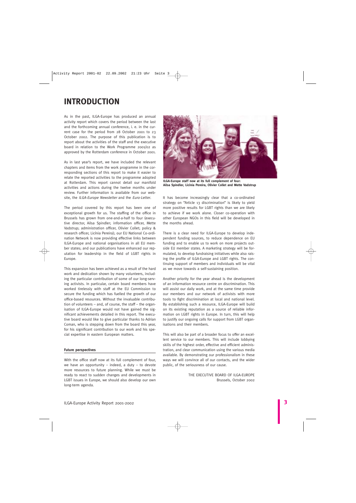### **INTRODUCTION**

As in the past, ILGA-Europe has produced an annual activity report which covers the period between the last and the forthcoming annual conference, i. e. in the current case for the period from 28 October 2001 to 23 October 2002. The purpose of this publication is to report about the activities of the staff and the executive board in relation to the Work Programme 2001/02 as approved by the Rotterdam conference in October 2001.

As in last year's report, we have included the relevant chapters and items from the work programme in the corresponding sections of this report to make it easier to relate the reported activities to the programme adopted at Rotterdam. This report cannot detail our manifold activities and actions during the twelve months under review. Further information is available from our website, the ILGA-Europe Newsletter and the Euro-Letter.

The period covered by this report has been one of exceptional growth for us. The staffing of the office in Brussels has grown from one-and-a-half to four (executive director, Ailsa Spindler; information officer, Mette Vadstrup; administration officer, Olivier Collet; policy & research officer, Licínia Pereira); our EU National Co-ordination Network is now providing effective links between ILGA-Europe and national organisations in all EU member states; and our publications have enhanced our reputation for leadership in the field of LGBT rights in Europe.

This expansion has been achieved as a result of the hard work and dedication shown by many volunteers, including the particular contribution of some of our long-serving activists. In particular, certain board members have worked tirelessly with staff at the EU Commission to secure the funding which has fuelled the growth of our office-based resources. Without the invaluable contribution of volunteers – and, of course, the staff – the organisation of ILGA-Europe would not have gained the significant achievements detailed in this report. The executive board would like to give particular thanks to Adrian Coman, who is stepping down from the board this year, for his significant contribution to our work and his special expertise in eastern European matters.

#### **Future perspectives**

With the office staff now at its full complement of four, we have an opportunity – indeed, a duty – to devote more resources to future planning. While we must be ready to react to sudden changes and developments in LGBT issues in Europe, we should also develop our own long-term agenda.



**ILGA-Europe staff now at its full complement of four: Ailsa Spindler, Licínia Pereira, Olivier Collet and Mette Vadstrup**

It has become increasingly clear that a co-ordinated strategy on "Article 13 discrimination" is likely to yield more positive results for LGBT rights than we are likely to achieve if we work alone. Closer co-operation with other European NGOs in this field will be developed in the months ahead.

There is a clear need for ILGA-Europe to develop independent funding sources, to reduce dependence on EU funding and to enable us to work on more projects outside EU member states. A marketing strategy will be formulated, to develop fundraising initiatives while also raising the profile of ILGA-Europe and LGBT rights. The continuing support of members and individuals will be vital as we move towards a self-sustaining position.

Another priority for the year ahead is the development of an information resource centre on discrimination. This will assist our daily work, and at the same time provide our members and our network of activists with more tools to fight discrimination at local and national level. By establishing such a resource, ILGA-Europe will build on its existing reputation as a source of reliable information on LGBT rights in Europe. In turn, this will help to justify our ongoing calls for support from LGBT organisations and their members.

This will also be part of a broader focus to offer an excellent service to our members. This will include lobbying skills of the highest order, effective and efficient administration, and clear communication using the various media available. By demonstrating our professionalism in these ways we will convince all of our contacts, and the wider public, of the seriousness of our cause.

> THE EXECUTIVE BOARD OF ILGA-EUROPE Brussels, October 2002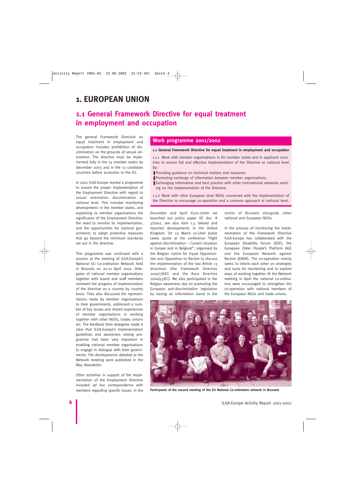### **1. EUROPEAN UNION**

### **1.1 General Framework Directive for equal treatment in employment and occupation**

The general Framework Directive on equal treatment in employment and occupation includes prohibition of discrimination on the grounds of sexual orientation. The directive must be implemented fully in the 15 member states by December 2003 and in the 13 candidate countries before accession to the EU.

In 2001 ILGA-Europe started a programme to ensure the proper implementation of the Employment Directive with regard to sexual orientation discrimination at national level. This includes monitoring developments in the member states, and explaining to member organisations the significance of the Employment Directive, the need to monitor its implementation, and the opportunities for national governments to adopt protective measures that go beyond the minimum standards set out in the directive.

This programme was continued with a session at the meeting of ILGA-Europe's National EU Co-ordination Network held in Brussels on 20-21 April 2002. Delegates of national member organisations together with board and staff members reviewed the progress of implementation of the directive on a country by country basis. They also discussed the representations made by member organisations to their governments, addressed a number of key issues and shared experiences of member organisations in working together with other NGOs, trades unions etc. The feedback from delegates made it clear that ILGA-Europe's implementation guidelines and awareness raising programme had been very important in enabling national member organisations to engage in dialogue with their governments. The developments debated at the Network meeting were published in the May Newsletter.

Other activities in support of the implementation of the Employment Directive included ad hoc correspondence with members regarding specific issues. In the

#### **Work programme 2001/2002**

#### **1.1 General Framework Directive for equal treatment in employment and occupation**

1.1.1 Work with member organisations in EU member states and in applicant countries to ensure full and effective implementation of the Directive at national level by:

- Providing guidance on technical matters and resources
- Promoting exchange of information between member organisations,
- Exchanging information and best practice with other international networks working on the implementation of the Directive.

1.1.2 Work with other European level NGOs concerned with the implementation of the Directive to encourage co-operation and a common approach at national level.

December and April Euro-Letter we launched our policy paper (IE doc. # 3/2002, see also item 1.3. below) and reported developments in the United Kingdom. On 23 March co-chair Jackie Lewis spoke at the conference "Fight against discrimination – Current situation in Europe and in Belgium", organised by the Belgian Centre for Equal Opportunities and Opposition to Racism to discuss the implementation of the two Article 13 directives (the Framework Directive 2000/78/EC and the Race Directive 2000/43/EC). We also participated in the Belgian awareness day on promoting the European anti-discrimination legislation by having an information stand in the

centre of Brussels alongside other national and European NGOs.

In the process of monitoring the implementation of the Framework Directive ILGA-Europe has collaborated with the European Disability Forum (EDF), the European Older People's Platform AGE and the European Network against Racism (ENAR). The co-operation mainly seeks to inform each other on strategies and tools for monitoring and to explore ways of working together. At the Network meeting in April the national co-ordinators were encouraged to strengthen the co-operation with national members of the European NGOs and trade unions.



**Participants of the second meeting of the EU National Co-ordination network in Brussels**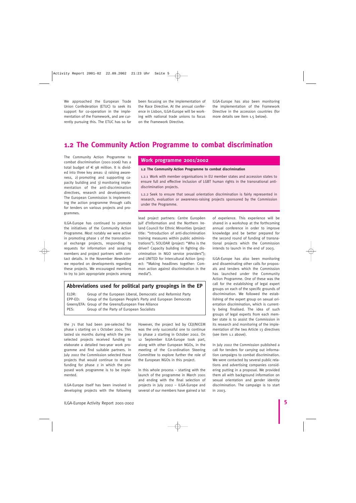We approached the European Trade Union Confederation (ETUC) to seek its support for co-operation in the implementation of the Framework, and are currently pursuing this. The ETUC has so far

been focusing on the implementation of the Race Directive. At the annual conference in Lisbon, ILGA-Europe will be working with national trade unions to focus on the Framework Directive.

ILGA-Europe has also been monitoring the implementation of the Framework Directive in the accession countries (for more details see item 1.5 below).

### **1.2 The Community Action Programme to combat discrimination**

The Community Action Programme to combat discrimination (2001-2006) has a total budget of  $\epsilon$  98 million. It is divided into three key areas: 1) raising awareness, 2) promoting and supporting capacity building and 3) monitoring implementation of the anti-discrimination directives, research and developments. The European Commission is implementing the action programme through calls for tenders on various projects and programmes.

ILGA-Europe has continued to promote the initiatives of the Community Action Programme. Most notably we were active in promoting phase 1 of the transnational exchange projects, responding to requests for information and assisting members and project partners with contact details. In the November Newsletter we reported on developments regarding these projects. We encouraged members to try to join appropriate projects among

#### **Work programme 2001/2002**

#### **1.2 The Community Action Programme to combat discrimination**

1.2.1 Work with member organisations in EU member states and accession states to ensure full and effective inclusion of LGBT human rights in the transnational antidiscrimination projects.

1.2.2 Seek to ensure that sexual orientation discrimination is fairly represented in research, evaluation or awareness-raising projects sponsored by the Commission under the Programme.

lead project partners: Centre Européen Juif d'Information and the Northern Ireland Council for Ethnic Minorities (project title: "Introduction of anti-discrimination training measures within public administrations"); SOLIDAR (project: "Who is the driver? Capacity building in fighting discrimination in NGO service providers"); and UNITED for Intercultural Action (project: "Making headlines together: Common action against discrimination in the media").

#### **Abbreviations used for political party groupings in the EP**

ELDR: Group of the European Liberal, Democratic and Reformist Party EPP-ED: Group of the European People's Party and European Democrats Greens/EFA: Group of the Greens/European Free Alliance PES: Group of the Party of European Socialists

the 71 that had been pre-selected for phase 1 starting on 1 October 2001. This lasted six months during which the preselected projects received funding to elaborate a detailed two-year work programme and find suitable partners. In July 2002 the Commission selected those projects that would continue to receive funding for phase 2 in which the proposed work programme is to be implemented.

ILGA-Europe itself has been involved in developing projects with the following

However, the project led by CEJI/NICEM was the only successful one to continue to phase 2 starting in October 2002. On 12 September ILGA-Europe took part, along with other European NGOs, in the meeting of the Co-ordination Steering Committee to explore further the role of the European NGOs in this project.

In this whole process – starting with the launch of the programme in March 2001 and ending with the final selection of projects in July 2002 – ILGA-Europe and several of our members have gained a lot

of experience. This experience will be shared in a workshop at the forthcoming annual conference in order to improve knowledge and be better prepared for the second round of funding of transnational projects which the Commission intends to launch in the end of 2003.

ILGA-Europe has also been monitoring and disseminating other calls for proposals and tenders which the Commission has launched under the Community Action Programme. One of these was the call for the establishing of legal expert groups on each of the specific grounds of discrimination. We followed the establishing of the expert group on sexual orientation discrimination, which is currently being finalised. The idea of such groups of legal experts from each member state is to assist the Commission in its research and monitoring of the implementation of the two Article 13 directives (see item 1.1 above).

In July 2002 the Commission published a call for tenders for carrying out information campaigns to combat discrimination. We were contacted by several public relations and advertising companies considering putting in a proposal. We provided them all with background information on sexual orientation and gender identity discrimination. The campaign is to start in 2003.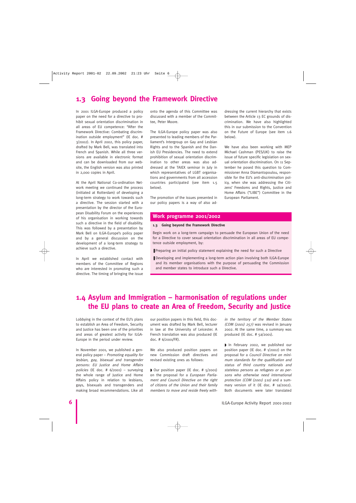### **1.3 Going beyond the Framework Directive**

In 2001 ILGA-Europe produced a policy paper on the need for a directive to prohibit sexual orientation discrimination in all areas of EU competence: "After the Framework Directive: Combating discrimination outside employment" (IE doc. # 3/2002). In April 2002, this policy paper, drafted by Mark Bell, was translated into French and Spanish. While all three versions are available in electronic format and can be downloaded from our website, the English version was also printed in 2,000 copies in April.

At the April National Co-ordination Network meeting we continued the process (initiated at Rotterdam) of developing a long-term strategy to work towards such a directive. The session started with a presentation by the director of the European Disability Forum on the experiences of his organisation in working towards such a directive in the field of disability. This was followed by a presentation by Mark Bell on ILGA-Europe's policy paper and by a general discussion on the development of a long-term strategy to achieve such a directive.

In April we established contact with members of the Committee of Regions who are interested in promoting such a directive. The timing of bringing the issue onto the agenda of this Committee was discussed with a member of the Committee, Peter Moore.

The ILGA-Europe policy paper was also presented to leading members of the Parliament's Intergroup on Gay and Lesbian Rights and to the Spanish and the Danish EU Presidencies. The need to extend prohibition of sexual orientation discrimination to other areas was also addressed at the TAIEX seminar in July in which representatives of LGBT organisations and governments from all accession countries participated (see item 1.5 below).

The promotion of the issues presented in our policy papers is a way of also addressing the current hierarchy that exists between the Article 13 EC grounds of discrimination. We have also highlighted this in our submission to the Convention on the Future of Europe (see item 1.6 below).

We have also been working with MEP Michael Cashman (PES/UK) to raise the issue of future specific legislation on sexual orientation discrimination. On 11 September he posed this question to Commissioner Anna Diamantopoulou, responsible for the EU's anti-discrimination policy, when she was addressing the Citizens' Freedoms and Rights, Justice and Home Affairs ("LIBE") Committee in the European Parliament.

#### **Work programme 2001/2002**

#### **1.3 Going beyond the Framework Directive**

Begin work on a long-term campaign to persuade the European Union of the need for a Directive to cover sexual orientation discrimination in all areas of EU competence outside employment, by:

- Preparing an initial policy statement explaining the need for such a Directive
- Developing and implementing a long-term action plan involving both ILGA-Europe and its member organisations with the purpose of persuading the Commission and member states to introduce such a Directive.

### **1.4 Asylum and Immigration – harmonisation of regulations under the EU plans to create an Area of Freedom, Security and Justice**

Lobbying in the context of the EU's plans to establish an Area of Freedom, Security and Justice has been one of the priorities and areas of greatest activity for ILGA-Europe in the period under review.

In November 2001, we published a general policy paper – Promoting equality for lesbian, gay, bisexual and transgender persons: EU Justice and Home Affairs policies (IE doc.  $# 6/2001$ ) – surveying the whole range of Justice and Home Affairs policy in relation to lesbians, gays, bisexuals and transgenders and making broad recommendations. Like all

our position papers in this field, this document was drafted by Mark Bell, lecturer in law at the University of Leicester. A French translation was also produced (IE doc. # 6/2001/FR).

We also produced position papers on new Commission draft directives and revised existing ones as follows:

◗ Our position paper (IE doc. # 5/2001) on the proposal for a European Parliament and Council Directive on the right of citizens of the Union and their family members to move and reside freely within the territory of the Member States (COM (2001) 257) was revised in January 2002. At the same time, a summary was produced (IE doc. # 5a/2001).

◗ In February 2002, we published our position paper (IE doc. # 1/2002) on the proposal for a Council Directive on minimum standards for the qualification and status of third country nationals and stateless persons as refugees or as persons who otherwise need international protection (COM (2001) 510) and a summary version of it (IE doc. # 1a/2002). Both documents were later translated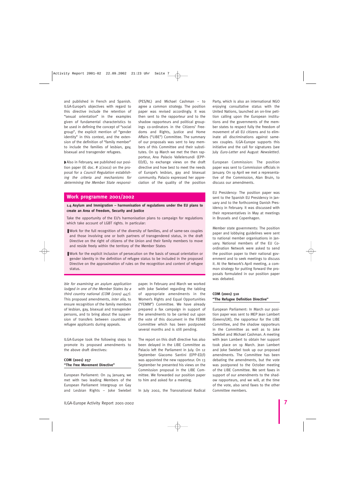and published in French and Spanish. ILGA-Europe's objectives with regard to this directive include the retention of "sexual orientation" in the examples given of fundamental characteristics to be used in defining the concept of "social group", the explicit mention of "gender identity" in this context, and the extension of the definition of "family member" to include the families of lesbian, gay, bisexual and transgender refugees.

◗ Also in February, we published our position paper (IE doc. # 2/2002) on the proposal for a Council Regulation establishing the criteria and mechanisms for determining the Member State responsi(PES/NL) and Michael Cashman – to agree a common strategy. The position paper was revised accordingly. It was then sent to the rapporteur and to the shadow rapporteurs and political groupings co-ordinators in the Citizens' Freedoms and Rights, Justice and Home Affairs ("LIBE") Committee. The summary of our proposals was sent to key members of this Committee and their substitutes. On 19 March we met the then rapporteur, Ana Palacio Vallelersundi (EPP-ED/E), to exchange views on the draft directive and how best to meet the needs of Europe's lesbian, gay and bisexual community. Palacio expressed her appreciation of the quality of the position

#### **Work programme 2001/2002**

**1.4 Asylum and Immigration – harmonisation of regulations under the EU plans to create an Area of Freedom, Security and Justice**

Take the opportunity of the EU's harmonisation plans to campaign for regulations which take account of LGBT rights. In particular:

- ❚ Work for the full recognition of the diversity of families, and of same-sex couples and those involving one or both partners of transgendered status, in the draft Directive on the right of citizens of the Union and their family members to move and reside freely within the territory of the Member States
- Work for the explicit inclusion of persecution on the basis of sexual orientation or gender identity in the definition of refugee status to be included in the proposed Directive on the approximation of rules on the recognition and content of refugee status.

ble for examining an asylum application lodged in one of the Member States by a third country national (COM (2001) 447). This proposed amendments, inter alia, to ensure recognition of the family members of lesbian, gay, bisexual and transgender persons, and to bring about the suspension of transfers between countries of refugee applicants during appeals.

ILGA-Europe took the following steps to promote its proposed amendments to the above draft directives:

#### **COM (2001) 257 "The Free Movement Directive"**

European Parliament: On 24 January, we met with two leading Members of the European Parliament Intergroup on Gay and Lesbian Rights – Joke Swiebel

paper. In February and March we worked with Joke Swiebel regarding the tabling of appropriate amendments in the Women's Rights and Equal Opportunities ("FEMM") Committee. We have already prepared a fax campaign in support of the amendments to be carried out upon the vote of this document in the FEMM Committee which has been postponed several months and is still pending.

The report on this draft directive has also been delayed in the LIBE Committee as Palacio left the Parliament in July. On 12 September Giacomo Santini (EPP-ED/I) was appointed the new rapporteur. On 13 September he presented his views on the Commission proposal in the LIBE Committee. We forwarded our position paper to him and asked for a meeting.

In July 2002, the Transnational Radical

Party, which is also an international NGO enjoying consultative status with the United Nations, launched an on-line petition calling upon the European institutions and the governments of the member states to respect fully the freedom of movement of all EU citizens and to eliminate all discriminations against samesex couples. ILGA-Europe supports this initiative and the call for signatures (see July Euro-Letter and August Newsletter).

European Commission: The position paper was sent to Commission officials in January. On 19 April we met a representative of the Commission, Alan Bruin, to discuss our amendments.

EU Presidency: The position paper was sent to the Spanish EU Presidency in January and to the forthcoming Danish Presidency in February. It was discussed with their representatives in May at meetings in Brussels and Copenhagen.

Member state governments: The position paper and lobbying guidelines were sent to national member organisations in January. National members of the EU Coordination Network were asked to send the position paper to their national government and to seek meetings to discuss it. At the Network's April meeting, a common strategy for putting forward the proposals formulated in our position paper was debated.

#### **COM (2001) 510 "The Refugee Definition Directive"**

European Parliament: In March our position paper was sent to MEP Jean Lambert (Greens/UK), the rapporteur for the LIBE Committee, and the shadow rapporteurs in the Committee as well as to Joke Swiebel and Michael Cashman. A meeting with Jean Lambert to obtain her support took place on 19 March. Jean Lambert and Joke Swiebel took up our proposed amendments. The Committee has been debating the amendments, but the vote was postponed to the October meeting of the LIBE Committee. We sent faxes in support of our amendments to the shadow rapporteurs, and we will, at the time of the vote, also send faxes to the other Committee members.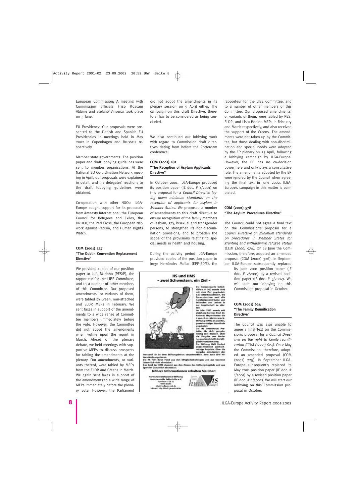European Commission: A meeting with Commission officials Friso Roscam Abbing and Stefano Vincenzi took place on 3 June.

EU Presidency: Our proposals were presented to the Danish and Spanish EU Presidencies in meetings held in May 2002 in Copenhagen and Brussels respectively.

Member state governments: The position paper and draft lobbying guidelines were sent to member organisations. At the National EU Co-ordination Network meeting in April, our proposals were explained in detail, and the delegates' reactions to the draft lobbying guidelines were obtained.

Co-operation with other NGOs: ILGA-Europe sought support for its proposals from Amnesty International, the European Council for Refugees and Exiles, the UNHCR, the Red Cross, the European Network against Racism, and Human Rights Watch.

#### **COM (2001) 447 "The Dublin Convention Replacement Directive"**

We provided copies of our position paper to Luís Marinho (PES/P), the rapporteur for the LIBE Committee, and to a number of other members of this Committee. Our proposed amendments, or variants of them, were tabled by Green, non-attached and ELDR MEPs in February. We sent faxes in support of the amendments to a wide range of Committee members immediately before the vote. However, the Committee did not adopt the amendments when voting upon the report in March. Ahead of the plenary debate, we held meetings with supportive MEPs to discuss prospects for tabling the amendments at the plenary. Our amendments, or variants thereof, were tabled by MEPs from the ELDR and Greens in March. We again sent faxes in support of the amendments to a wide range of MEPs immediately before the plenary vote. However, the Parliament

did not adopt the amendments in its plenary session on 9 April either. The campaign on this draft Directive, therefore, has to be considered as being concluded.

We also continued our lobbying work with regard to Commission draft directives dating from before the Rotterdam conference:

#### **COM (2001) 181 "The Reception of Asylum Applicants Directive"**

In October 2001, ILGA-Europe produced its position paper (IE doc. # 4/2001) on this proposal for a Council Directive laying down minimum standards on the reception of applicants for asylum in Member States. We proposed a number of amendments to this draft directive to ensure recognition of the family members of lesbian, gay, bisexual and transgender persons, to strengthen its non-discrimination provisions, and to broaden the scope of the provisions relating to special needs in health and housing.

During the activity period ILGA-Europe provided copies of the position paper to Jorge Hernández Mollar (EPP-ED/E), the



ehlati hojjigay-vek.de<br>interset http://staft.ga-veb.de/m

rapporteur for the LIBE Committee, and to a number of other members of this Committee. Our proposed amendments, or variants of them, were tabled by PES, ELDR, and Lista Bonino MEPs in February and March respectively, and also received the support of the Greens. The amendments were not taken up by the Committee, but those dealing with non-discrimination and special needs were adopted by the EP plenary on 25 April, following a lobbying campaign by ILGA-Europe. However, the EP has no co-decision power here and only plays a consultative role. The amendments adopted by the EP were ignored by the Council when agreeing the final text in June 2002. ILGA-Europe's campaign in this matter is completed.

#### **COM (2001) 578 "The Asylum Procedures Directive"**

The Council could not agree a final text on the Commission's proposal for a Council Directive on minimum standards on procedures in Member States for granting and withdrawing refugee status (COM (2000) 578). On 18 June the Commission, therefore, adopted an amended proposal (COM (2002) 326). In September ILGA-Europe subsequently replaced

its June 2001 position paper (IE doc. # 2/2001) by a revised position paper (IE doc.  $# 5/2002$ ). We will start our lobbying on this Commission proposal in October.

#### **COM (2001) 624 "The Family Reunification Directive"**

The Council was also unable to agree a final text on the Commission's proposal for a Council Directive on the right to family reunification (COM (2000) 624). On 2 May the Commission, therefore, adopted an amended proposal (COM (2002) 225). In September ILGA-Europe subsequently replaced its May 2001 position paper (IE doc. # 1/2001) by a revised position paper (IE doc.  $\#$   $4/2002$ ). We will start our lobbying on this Commission proposal in October.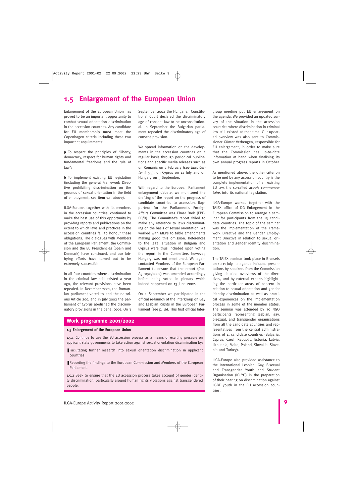### **1.5 Enlargement of the European Union**

Enlargement of the European Union has proved to be an important opportunity to combat sexual orientation discrimination in the accession countries. Any candidate for EU membership must meet the Copenhagen criteria including these two important requirements:

◗ To respect the principles of "liberty, democracy, respect for human rights and fundamental freedoms and the rule of law";

◗ To implement existing EU legislation (including the general Framework Directive prohibiting discrimination on the grounds of sexual orientation in the field of employment; see item 1.1. above).

ILGA-Europe, together with its members in the accession countries, continued to make the best use of this opportunity by providing reports and publications on the extent to which laws and practices in the accession countries fail to honour these obligations. The dialogues with Members of the European Parliament, the Commission and the EU Presidencies (Spain and Denmark) have continued, and our lobbying efforts have turned out to be extremely successful:

In all four countries where discrimination in the criminal law still existed a year ago, the relevant provisions have been repealed. In December 2001, the Romanian parliament voted to end the notorious Article 200, and in July 2002 the parliament of Cyprus abolished the discriminatory provisions in the penal code. On 3

September 2002 the Hungarian Constitutional Court declared the discriminatory age of consent law to be unconstitutional. In September the Bulgarian parliament repealed the discriminatory age of consent provision.

We spread information on the developments in the accession countries on a regular basis through periodical publications and specific media releases such as on Romania on 2 February (see Euro-Letter # 95), on Cyprus on 12 July and on Hungary on 5 September.

With regard to the European Parliament enlargement debate, we monitored the drafting of the report on the progress of candidate countries to accession. Rapporteur for the Parliament's Foreign Affairs Committee was Elmar Brok (EPP-ED/D). The Committee's report failed to make any reference to laws discriminating on the basis of sexual orientation. We worked with MEPs to table amendments making good this omission. References to the legal situation in Bulgaria and Cyprus were thus included upon voting the report in the Committee, however, Hungary was not mentioned. We again contacted Members of the European Parliament to ensure that the report (Doc. A5-0190/2002) was amended accordingly before being voted in plenary which indeed happened on 13 June 2002.

On 4 September we participated in the official re-launch of the Intergroup on Gay and Lesbian Rights in the European Parliament (see p. 16). This first official Inter-

#### **Work programme 2001/2002**

#### **1.5 Enlargement of the European Union**

1.5.1 Continue to use the EU accession process as a means of exerting pressure on applicant state governments to take action against sexual orientation discrimination by:

- Facilitating further research into sexual orientation discrimination in applicant countries
- Reporting the findings to the European Commission and Members of the European Parliament.

1.5.2 Seek to ensure that the EU accession process takes account of gender identity discrimination, particularly around human rights violations against transgendered people.

group meeting put EU enlargement on the agenda. We provided an updated survey of the situation in the accession countries where discrimination in criminal law still existed at that time. Our updated overview was also sent to Commissioner Günter Verheugen, responsible for EU enlargement, in order to make sure that the Commission has up-to-date information at hand when finalising its own annual progress reports in October.

As mentioned above, the other criterion to be met by any accession country is the complete implementation of all existing EU law, the so-called acquis communautaire, into its national legislation.

ILGA-Europe worked together with the TAIEX office of DG Enlargement in the European Commission to arrange a seminar for participants from the 13 candidate countries. The topic of the seminar was the implementation of the Framework Directive and the Gender Employment Directive in relation to sexual orientation and gender identity discrimination.

The TAIEX seminar took place in Brussels on 10-11 July. Its agenda included presentations by speakers from the Commission giving detailed overviews of the directives, and by external experts highlighting the particular areas of concern in relation to sexual orientation and gender identity discrimination as well as practical experiences on the implementation process in some of the member states. The seminar was attended by 30 NGO participants representing lesbian, gay, bisexual, and transgender organisations from all the candidate countries and representatives from the central administrations of 11 candidate countries (Bulgaria, Cyprus, Czech Republic, Estonia, Latvia, Lithuania, Malta, Poland, Slovakia, Slovenia and Turkey).

ILGA-Europe also provided assistance to the International Lesbian, Gay, Bisexual and Transgender Youth and Student Organisation (IGLYO) in the preparation of their hearing on discrimination against LGBT youth in the EU accession countries.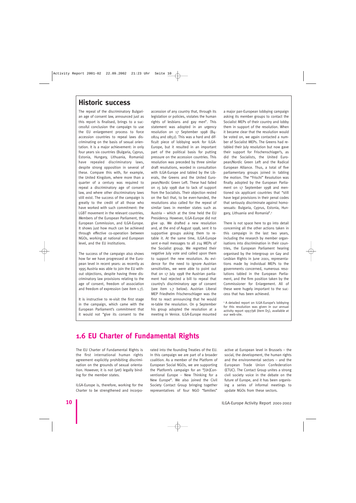### **Historic success**

The repeal of the discriminatory Bulgarian age of consent law, announced just as this report is finalised, brings to a successful conclusion the campaign to use the EU enlargement process to force accession countries to repeal laws discriminating on the basis of sexual orientation. It is a major achievement: in only four years six countries (Bulgaria, Cyprus, Estonia, Hungary, Lithuania, Romania) have repealed discriminatory laws, despite strong opposition in several of these. Compare this with, for example, the United Kingdom, where more than a quarter of a century was required to repeal a discriminatory age of consent law, and where other discriminatory laws still exist. The success of the campaign is greatly to the credit of all those who have worked with such commitment: the LGBT movement in the relevant countries, Members of the European Parliament, the European Commission, and ILGA-Europe. It shows just how much can be achieved through effective co-operation between NGOs, working at national and European level, and the EU institutions.

The success of the campaign also shows how far we have progressed at the European level in recent years: as recently as 1995 Austria was able to join the EU without objections, despite having three discriminatory law provisions relating to the age of consent, freedom of association and freedom of expression (see item 1.7).

It is instructive to re-visit the first stage in the campaign, which came with the European Parliament's commitment that it would not "give its consent to the accession of any country that, through its legislation or policies, violates the human rights of lesbians and gay men". This statement was adopted in an urgency resolution on 17 September 1998 (B4- 0824 and 0852). This was a hard and difficult piece of lobbying work for ILGA-Europe, but it resulted in an important part of the political basis for putting pressure on the accession countries. This resolution was preceded by three similar draft resolutions, worded in consultation with ILGA-Europe and tabled by the Liberals, the Greens and the United European/Nordic Green Left. These had failed on 15 July 1998 due to lack of support from the Socialists. Their objection rested on the fact that, to be even-handed, the resolutions also called for the repeal of similar laws in member states such as Austria – which at the time held the EU Presidency. However, ILGA-Europe did not give up. We drafted a new resolution and, at the end of August 1998, sent it to supportive groups asking them to retable it. At the same time, ILGA-Europe sent e-mail messages to all 214 MEPs of the Socialist group. We regretted their negative July vote and called upon them to support the new resolution. As evidence for the need to ignore Austrian sensitivities, we were able to point out that on 17 July 1998 the Austrian parliament had rejected a bill to repeal that country's discriminatory age of consent (see item 1.7 below). Austrian Liberal MEP Friedhelm Frischenschlager was the first to react announcing that he would re-table the resolution. On 9 September his group adopted the resolution at a meeting in Venice. ILGA-Europe mounted

a major pan-European lobbying campaign asking its member groups to contact the Socialist MEPs of their country and lobby them in support of the resolution. When it became clear that the resolution would be voted on, we again contacted a number of Socialist MEPs. The Greens had retabled their July resolution but now gave their support for Frischenschlager's, as did the Socialists, the United European/Nordic Green Left and the Radical European Alliance. Thus, a total of five parliamentary groups joined in tabling the motion. The "Frischi" Resolution was finally adopted by the European Parliament on 17 September 1998 and mentioned six applicant countries that "still have legal provisions in their penal codes that seriously discriminate against homosexuals: Bulgaria, Cyprus, Estonia, Hungary, Lithuania and Romania".1

There is not space here to go into detail concerning all the other actions taken in this campaign in the last two years, including the research by member organisations into discrimination in their countries, the European Parliament hearing organised by the Intergroup on Gay and Lesbian Rights in June 2001, representations made by individual MEPs to the governments concerned, numerous resolutions tabled in the European Parliament, and the firm position taken by the Commissioner for Enlargement. All of these were hugely important to the success that has been achieved.

<sup>1</sup> A detailed report on ILGA-Europe's lobbying for this resolution was given in our annual activity report 1997/98 (item D5), available at our web-site.

### **1.6 EU Charter of Fundamental Rights**

The EU Charter of Fundamental Rights is the first international human rights agreement explicitly prohibiting discrimination on the grounds of sexual orientation. However, it is not (yet) legally binding for the member states.

ILGA-Europe is, therefore, working for the Charter to be strengthened and incorporated into the founding Treaties of the EU. In this campaign we are part of a broader coalition. As a member of the Platform of European Social NGOs, we are supporting the Platform's campaign for an "[Un]Conventional Europe – New Thinking for a New Europe". We also joined the Civil Society Contact Group bringing together representatives of four NGO "families"

active at European level in Brussels – the social, the development, the human rights and the environmental sectors – and the European Trade Union Confederation (ETUC). The Contact Group unites a strong civil society voice in the debate on the future of Europe, and it has been organising a series of informal meetings to update NGOs from these sectors.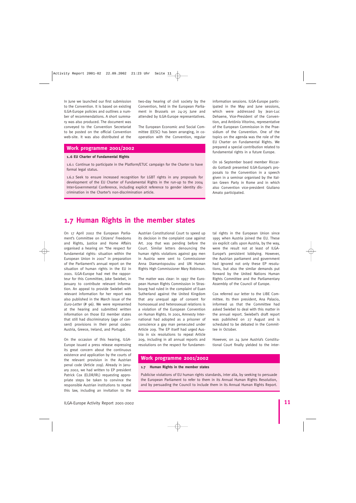In June we launched our first submission to the Convention. It is based on existing ILGA-Europe policies and outlines a number of recommendations. A short summary was also produced. The document was conveyed to the Convention Secretariat to be posted on the official Convention web-site. It was also distributed at the

#### **Work programme 2001/2002**

#### **1..6 EU Charter of Fundamental Rights**

1.6.1 Continue to participate in the Platform/ETUC campaign for the Charter to have formal legal status.

1.6.2 Seek to ensure increased recognition for LGBT rights in any proposals for development of the EU Charter of Fundamental Rights in the run-up to the 2004 Inter-Governmental Conference, including explicit reference to gender identity discrimination in the Charter's non-discrimination article.

information sessions. ILGA-Europe participated in the May and June sessions, which were addressed by Jean-Luc Dehaene, Vice-President of the Convention, and António Vitorino, representative of the European Commission in the Praesidium of the Convention. One of the topics on the agenda was the role of the EU Charter on Fundamental Rights. We prepared a special contribution related to fundamental rights in a future Europe.

On 16 September board member Riccardo Gottardi presented ILGA-Europe's proposals to the Convention in a speech given in a seminar organised by the Italian Green Party in Rome and in which also Convention vice-president Giuliano Amato participated.

### **1.7 Human Rights in the member states**

On 17 April 2002 the European Parliament's Committee on Citizens' Freedoms and Rights, Justice and Home Affairs organised a hearing on "the respect for fundamental rights: situation within the European Union in 2001" in preparation of the Parliament's annual report on the situation of human rights in the EU in 2001. ILGA-Europe had met the rapporteur for this Committee, Joke Swiebel, in January to contribute relevant information. An appeal to provide Swiebel with relevant information for her report was also published in the March issue of the Euro-Letter (# 96). We were represented at the hearing and submitted written information on those EU member states that still had discriminatory (age of consent) provisions in their penal codes: Austria, Greece, Ireland, and Portugal.

On the occasion of this hearing, ILGA-Europe issued a press release expressing its great concern about the continuous existence and application by the courts of the relevant provision in the Austrian penal code (Article 209). Already in January 2002, we had written to EP president Patrick Cox (ELDR/IRL) requesting appropriate steps be taken to convince the responsible Austrian institutions to repeal this law, including an invitation to the

Austrian Constitutional Court to speed up its decision in the complaint case against Art. 209 that was pending before the Court. Similar letters denouncing the human rights violations against gay men in Austria were sent to Commissioner Anna Diamantopoulou and UN Human Rights High Commissioner Mary Robinson.

two-day hearing of civil society by the Convention, held in the European Parliament in Brussels on 24-25 June and attended by ILGA-Europe representatives.

The European Economic and Social Committee (EESC) has been arranging, in cooperation with the Convention, regular

The matter was clear: In 1997 the European Human Rights Commission in Strasbourg had ruled in the complaint of Euan Sutherland against the United Kingdom that any unequal age of consent for homosexual and heterosexual relations is a violation of the European Convention on Human Rights. In 2001, Amnesty International had adopted as a prisoner of conscience a gay man persecuted under Article 209. The EP itself had urged Austria in six resolutions to repeal Article 209, including in all annual reports and resolutions on the respect for fundamen-

tal rights in the European Union since 1995 when Austria joined the EU. These six explicit calls upon Austria, by the way, were the result not at least of ILGA-Europe's persistent lobbying. However, the Austrian parliament and government had ignored not only these EP resolutions, but also the similar demands put forward by the United Nations Human Rights Committee and the Parliamentary Assembly of the Council of Europe.

Cox referred our letter to the LIBE Committee. Its then president, Ana Palacio, informed us that the Committee had asked Swiebel to deal with this matter in the annual report. Swiebel's draft report was published on 27 August and is scheduled to be debated in the Committee in October.

However, on 24 June Austria's Constitutional Court finally yielded to the inter-

#### **Work programme 2001/2002**

#### **1.7 Human Rights in the member states**

Publicise violations of EU human rights standards, inter alia, by seeking to persuade the European Parliament to refer to them in its Annual Human Rights Resolution, and by persuading the Council to include them in its Annual Human Rights Report.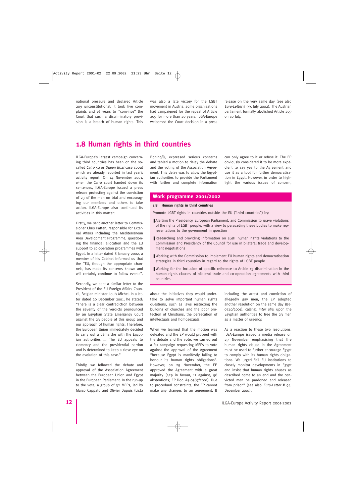national pressure and declared Article 209 unconstitutional. It took five complaints and 16 years to "convince" the Court that such a discriminatory provision is a breach of human rights. This was also a late victory for the LGBT movement in Austria, some organisations had campaigned for the repeal of Article 209 for more than 20 years. ILGA-Europe welcomed the Court decision in a press

release on the very same day (see also Euro-Letter # 99, July 2002). The Austrian parliament formally abolished Article 209 on 10 July.

### **1.8 Human rights in third countries**

ILGA-Europe's largest campaign concerning third countries has been on the socalled Cairo 52 or Queen Boat case about which we already reported in last year's activity report. On 14 November 2001, when the Cairo court handed down its sentences, ILGA-Europe issued a press release protesting against the conviction of 23 of the men on trial and encouraging our members and others to take action. ILGA-Europe also continued its activities in this matter:

Firstly, we sent another letter to Commissioner Chris Patten, responsible for External Affairs including the Mediterranean Area Development Programme, questioning the financial allocation and the EU support to co-operation programmes with Egypt. In a letter dated 8 January 2002, a member of his Cabinet informed us that the "EU, through the appropriate channels, has made its concerns known and will certainly continue to follow events".

Secondly, we sent a similar letter to the President of the EU Foreign Affairs Council, Belgian minister Louis Michel. In a letter dated 20 December 2001, he stated: "There is a clear contradiction between the severity of the verdicts pronounced by an Egyptian State Emergency Court against the 23 people of this group and our approach of human rights. Therefore, the European Union immediately decided to carry out a démarche with the Egyptian authorities ... The EU appeals to clemency and the presidential pardon and is determined to keep a close eye on the evolution of this case."

Thirdly, we followed the debate and approval of the Association Agreement between the European Union and Egypt in the European Parliament. In the run-up to the vote, a group of 32 MEPs, led by Marco Cappato and Olivier Dupuis (Lista

Bonino/I), expressed serious concerns and tabled a motion to delay the debate and the voting of the Association Agreement. This delay was to allow the Egyptian authorities to provide the Parliament with further and complete information

can only agree to it or refuse it. The EP obviously considered it to be more expedient to say yes to the Agreement and use it as a tool for further democratisation in Egypt. However, in order to highlight the various issues of concern,

#### **Work programme 2001/2002**

#### **1.8 Human rights in third countries**

Promote LGBT rights in countries outside the EU ("third countries") by:

- Alerting the Presidency, European Parliament, and Commission to grave violations of the rights of LGBT people, with a view to persuading these bodies to make representations to the government in question
- Researching and providing information on LGBT human rights violations to the Commission and Presidency of the Council for use in bilateral trade and development negotiations
- Working with the Commission to implement EU human rights and democratisation strategies in third countries in regard to the rights of LGBT people
- Working for the inclusion of specific reference to Article 13 discrimination in the human rights clauses of bilateral trade and co-operation agreements with third countries.

about the initiatives they would undertake to solve important human rights questions, such as laws restricting the building of churches and the poor protection of Christians, the persecution of intellectuals and homosexuals.

When we learned that the motion was defeated and the EP would proceed with the debate and the vote, we carried out a fax campaign requesting MEPs to vote against the approval of the Agreement "because Egypt is manifestly failing to honour its human rights obligations". However, on 29 November, the EP approved the Agreement with a great majority (429 in favour, 11 against, 58 abstentions; EP Doc. A5-0387/2001). Due to procedural constraints, the EP cannot make any changes to an agreement. It

including the arrest and conviction of allegedly gay men, the EP adopted another resolution on the same day (B5- 0740/2001), calling, inter alia, upon the Egyptian authorities to free the 23 men as a matter of urgency.

As a reaction to these two resolutions, ILGA-Europe issued a media release on 29 November emphasising that the human rights clause in the Agreement must be used to further encourage Egypt to comply with its human rights obligations. We urged "all EU institutions to closely monitor developments in Egypt and insist that human rights abuses as described come to an end and the convicted men be pardoned and released from prison" (see also Euro-Letter # 94, December 2001).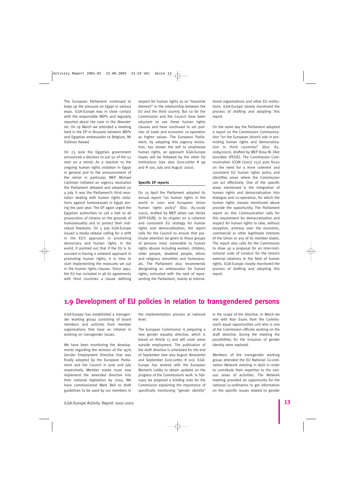The European Parliament continued to keep up the pressure on Egypt in various ways. ILGA-Europe was in close contact with the responsible MEPs and regularly reported about the case in the Newsletter. On 19 March we attended a meeting held in the EP in Brussels between MEPs and Egyptian ambassador to Belgium, Mr Soliman Awaad.

On 23 June the Egyptian government announced a decision to put 50 of the 52 men on a retrial. As a reaction to the ongoing human rights violation in Egypt in general and to the announcement of the retrial in particular, MEP Michael Cashman initiated an urgency resolution the Parliament debated and adopted on 4 July. It was the Parliament's third resolution dealing with human rights violations against homosexuals in Egypt during the past year. The EP again urged the Egyptian authorities to call a halt to all prosecution of citizens on the grounds of homosexuality and to protect their individual freedoms. On 5 July ILGA-Europe issued a media release calling for a shift in the EU's approach in promoting democracy and human rights in the world. It pointed out that if the EU is to succeed in having a coherent approach in promoting human rights, it is time to start implementing the measures set out in the human rights clauses. Since 1992, the EU has included in all its agreements with third countries a clause defining

respect for human rights as an "essential element" in the relationship between the EU and the third country. But so far the Commission and the Council have been reluctant to use these human rights clauses and have continued to set policies of trade and economic co-operation as higher values. The European Parliament, by adopting this urgency resolution, has shown the will to emphasise human rights, an approach ILGA-Europe hopes will be followed by the other EU institutions (see also Euro-Letter # 99 and # 100, July and August 2002).

#### **Specific EP reports**

On 25 April the Parliament adopted its annual report "on human rights in the world in 2001 and European Union human rights policy" (Doc. A5-0106/ 2002), drafted by MEP Johan van Hecke (EPP-ED/B). In its chapter on a coherent and consistent EU strategy for human rights and democratisation, the report calls for the Council to ensure that particular attention be given to those groups of persons most vulnerable to human rights abuses including women, children, older people, disabled people, ethnic and religious minorities and homosexuals. The Parliament also recommends designating an ambassador for human rights, entrusted with the task of representing the Parliament, mainly at international organisations and other EU institutions. ILGA-Europe closely monitored the process of drafting and adopting this report.

On the same day the Parliament adopted a report on the Commission Communication "on the European Union's role in promoting human rights and democratisation in third countries" (Doc. A5- 0084/2002), drafted by MEP Rosa M. Díez González (PES/E). The Commission Communication (COM (2001) 252) puts focus on the need for a more coherent and consistent EU human rights policy and identifies areas where the Commission can act effectively. One of the specific areas mentioned is the integration of human rights and democratisation into dialogue and co-operation, for which the human rights clauses mentioned above provide the opportunity. The Parliament report on this Communication calls for this requirement for democratisation and respect for human rights to take, without exception, primacy over the economic, commercial or other legitimate interests of the Union or any of its member states. The report also calls for the Commission to draw up a proposal for an inter-institutional code of conduct for the Union's external relations in the field of human rights. ILGA-Europe closely monitored the process of drafting and adopting this report.

### **1.9 Development of EU policies in relation to transgendered persons**

ILGA-Europe has established a transgender working group consisting of board members and activists from member organisations that have an interest in working on transgender issues.

We have been monitoring the developments regarding the revision of the 1976 Gender Employment Directive that was finally adopted by the European Parliament and the Council in June and July respectively. Member states must now implement the amended directive into their national legislation by 2005. We have commissioned Mark Bell to draft guidelines to be used by our members in

the implementation process at national level.

The European Commission is preparing a new gender equality directive, which is based on Article 13 and will cover areas outside employment. The publication of the draft directive is scheduled for the end of September (see also August Newsletter and September Euro-Letter, # 101). ILGA-Europe has worked with the European Women's Lobby to obtain updates on the progress of the Commission's work. In February we prepared a briefing note for the Commission explaining the importance of specifically mentioning "gender identity"

in the scope of the directive. In March we met with Alan Evans from the Commission's equal opportunities unit who is one of the Commission officials working on the draft directive. During the meeting the possibilities for the inclusion of gender identity were explored.

Members of the transgender working group attended the EU National Co-ordination Network meeting in April in order to contribute their expertise to the various areas of activities. The Network meeting provided an opportunity for the national co-ordinators to get information on the specific issues related to gender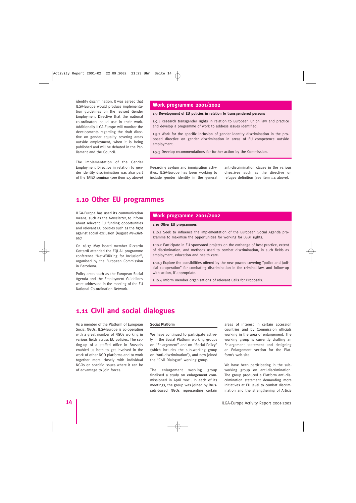identity discrimination. It was agreed that ILGA-Europe would produce implementation guidelines on the revised Gender Employment Directive that the national co-ordinators could use in their work. Additionally ILGA-Europe will monitor the developments regarding the draft directive on gender equality covering areas outside employment, when it is being published and will be debated in the Parliament and the Council.

The implementation of the Gender Employment Directive in relation to gender identity discrimination was also part of the TAIEX seminar (see item 1.5 above)

#### **Work programme 2001/2002**

#### **1.9 Development of EU policies in relation to transgendered persons**

1.9.1 Research transgender rights in relation to European Union law and practice and develop a programme of work to address issues identified.

1.9.2 Work for the specific inclusion of gender identity discrimination in the proposed directive on gender discrimination in areas of EU competence outside employment.

1.9.3 Develop recommendations for further action by the Commission.

Regarding asylum and immigration activities, ILGA-Europe has been working to include gender identity in the general

anti-discrimination clause in the various directives such as the directive on refugee definition (see item 1.4 above).

### **1.10 Other EU programmes**

ILGA-Europe has used its communication means, such as the Newsletter, to inform about relevant EU funding opportunities and relevant EU policies such as the fight against social exclusion (August Newsletter).

On 16-17 May board member Riccardo Gottardi attended the EQUAL programme conference "NetWORKing for Inclusion", organised by the European Commission in Barcelona.

Policy areas such as the European Social Agenda and the Employment Guidelines were addressed in the meeting of the EU National Co-ordination Network.

#### **Work programme 2001/2002**

#### **1.10 Other EU programmes**

1.10.1 Seek to influence the implementation of the European Social Agenda programme to maximise the opportunities for working for LGBT rights.

1.10.2 Participate in EU sponsored projects on the exchange of best practice, extent of discrimination, and methods used to combat discrimination, in such fields as employment, education and health care.

1.10.3 Explore the possibilities offered by the new powers covering "police and judicial co-operation" for combating discrimination in the criminal law, and follow-up with action, if appropriate.

1.10.4 Inform member organisations of relevant Calls for Proposals.

### **1.11 Civil and social dialogues**

As a member of the Platform of European Social NGOs, ILGA-Europe is co-operating with a great number of NGOs working in various fields across EU policies. The setting-up of a staffed office in Brussels enabled us both to get involved in the work of other NGO platforms and to work together more closely with individual NGOs on specific issues where it can be of advantage to join forces.

#### **Social Platform**

We have continued to participate actively in the Social Platform working groups on "Enlargement" and on "Social Policy" (which includes the sub-working group on "Anti-discrimination"), and now joined the "Civil Dialogue" working group.

The enlargement working group finalised a study on enlargement commissioned in April 2001. In each of its meetings, the group was joined by Brussels-based NGOs representing certain areas of interest in certain accession countries and by Commission officials working in the area of enlargement. The working group is currently drafting an Enlargement statement and designing an Enlargement section for the Platform's web-site.

We have been participating in the subworking group on anti-discrimination. The group produced a Platform anti-discrimination statement demanding more initiatives at EU level to combat discrimination and the strengthening of Article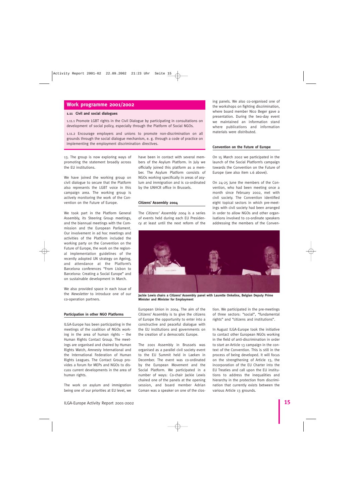#### **Work programme 2001/2002**

#### **1.11 Civil and social dialogues**

1.11.1 Promote LGBT rights in the Civil Dialogue by participating in consultations on development of social policy, especially through the Platform of Social NGOs.

1.11.2 Encourage employers and unions to promote non-discrimination on all grounds through the social dialogue mechanism, e. g. through a code of practice on implementing the employment discrimination directives.

13. The group is now exploring ways of promoting the statement broadly across the EU institutions.

We have joined the working group on civil dialogue to secure that the Platform also represents the LGBT voice in this campaign area. The working group is actively monitoring the work of the Convention on the Future of Europe.

We took part in the Platform General Assembly, its Steering Group meetings, and the biannual meetings with the Commission and the European Parliament. Our involvement in ad hoc meetings and activities of the Platform included the working party on the Convention on the Future of Europe, the work on the regional implementation guidelines of the recently adopted UN strategy on Ageing, and attendance at the Platform's Barcelona conferences "From Lisbon to Barcelona: Creating a Social Europe" and on sustainable development in March.

We also provided space in each issue of the Newsletter to introduce one of our co-operation partners.

#### **Participation in other NGO Platforms**

ILGA-Europe has been participating in the meetings of the coalition of NGOs working in the area of human rights – the Human Rights Contact Group. The meetings are organised and chaired by Human Rights Watch, Amnesty International and the International Federation of Human Rights Leagues. The Contact Group provides a forum for MEPs and NGOs to discuss current developments in the area of human rights.

The work on asylum and immigration being one of our priorities at EU level, we have been in contact with several members of the Asylum Platform. In July we officially joined this platform as a member. The Asylum Platform consists of NGOs working specifically in areas of asylum and immigration and is co-ordinated by the UNHCR office in Brussels.

#### **Citizens' Assembly 2004**

The Citizens' Assembly 2004 is a series of events held during each EU Presidency at least until the next reform of the ing panels. We also co-organised one of the workshops on fighting discrimination, where board member Nico Beger gave a presentation. During the two-day event we maintained an information stand where publications and information materials were distributed.

#### **Convention on the Future of Europe**

On 15 March 2002 we participated in the launch of the Social Platform's campaign towards the Convention on the Future of Europe (see also item 1.6 above).

On 24-25 June the members of the Convention, who had been meeting once a month since February 2002, met with civil society. The Convention identified eight topical sectors in which pre-meetings with civil society had been arranged in order to allow NGOs and other organisations involved to co-ordinate speakers addressing the members of the Conven-



**Jackie Lewis chairs a Citizens' Assembly panel with Laurette Onkelinx, Belgian Deputy Prime Minister and Minister for Employment**

European Union in 2004. The aim of the Citizens' Assembly is to give the citizens of Europe the opportunity to enter into a constructive and peaceful dialogue with the EU institutions and governments on the creation of a democratic Europe.

The 2001 Assembly in Brussels was organised as a parallel civil society event to the EU Summit held in Laeken in December. The event was co-ordinated by the European Movement and the Social Platform. We participated in a number of ways: Co-chair Jackie Lewis chaired one of the panels at the opening session, and board member Adrian Coman was a speaker on one of the clostion. We participated in the pre-meetings of three sectors: "social", "fundamental rights" and "citizens and institutions".

In August ILGA-Europe took the initiative to contact other European NGOs working in the field of anti-discrimination in order to start an Article 13 campaign in the context of the Convention. This is still in the process of being developed. It will focus on the strengthening of Article 13, the incorporation of the EU Charter into the EU Treaties and call upon the EU institutions to address the inequalities and hierarchy in the protection from discrimination that currently exists between the various Article 13 grounds.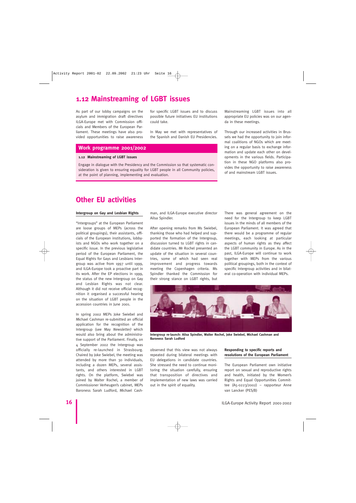### **1.12 Mainstreaming of LGBT issues**

As part of our lobby campaigns on the asylum and immigration draft directives ILGA-Europe met with Commission officials and Members of the European Parliament. These meetings have also provided opportunities to raise awareness for specific LGBT issues and to discuss possible future initiatives EU institutions could take.

In May we met with representatives of the Spanish and Danish EU Presidencies.

#### **Work programme 2001/2002**

#### **1.12 Mainstreaming of LGBT issues**

Engage in dialogue with the Presidency and the Commission so that systematic consideration is given to ensuring equality for LGBT people in all Community policies, at the point of planning, implementing and evaluation.

Mainstreaming LGBT issues into all appropriate EU policies was on our agenda in these meetings.

Through our increased activities in Brussels we had the opportunity to join informal coalitions of NGOs which are meeting on a regular basis to exchange information and update each other on developments in the various fields. Participation in these NGO platforms also provides the opportunity to raise awareness of and mainstream LGBT issues.

### **Other EU activities**

#### **Intergroup on Gay and Lesbian Rights**

"Intergroups" at the European Parliament are loose groups of MEPs (across the political groupings), their assistants, officials of the European institutions, lobbyists and NGOs who work together on a specific issue. In the previous legislative period of the European Parliament, the Equal Rights for Gays and Lesbians Intergroup was active from 1997 until 1999, and ILGA-Europe took a proactive part in its work. After the EP elections in 1999, the status of the new Intergroup on Gay and Lesbian Rights was not clear. Although it did not receive official recognition it organised a successful hearing on the situation of LGBT people in the accession countries in June 2001.

In spring 2002 MEPs Joke Swiebel and Michael Cashman re-submitted an official application for the recognition of the Intergroup (see May Newsletter) which would also bring about the administrative support of the Parliament. Finally, on 4 September 2002 the Intergroup was officially re-launched in Strasbourg. Chaired by Joke Swiebel, the meeting was attended by more than 30 individuals, including a dozen MEPs, several assistants, and others interested in LGBT rights. On the platform, Swiebel was joined by Walter Rochel, a member of Commissioner Verheugen's cabinet, MEPs Baroness Sarah Ludford, Michael Cash-

man, and ILGA-Europe executive director Ailsa Spindler.

After opening remarks from Ms Swiebel, thanking those who had helped and supported the formation of the Intergroup, discussion turned to LGBT rights in candidate countries. Mr Rochel presented an update of the situation in several countries, some of which had seen real improvement and progress towards meeting the Copenhagen criteria. Ms Spindler thanked the Commission for their strong stance on LGBT rights, but

There was general agreement on the need for the Intergroup to keep LGBT issues in the minds of all members of the European Parliament. It was agreed that there would be a programme of regular meetings, each looking at particular aspects of human rights as they affect the LGBT community in Europe. As in the past, ILGA-Europe will continue to work together with MEPs from the various political groupings, both in the context of specific Intergroup activities and in bilateral co-operation with individual MEPs.



**Intergroup re-launch: Ailsa Spindler, Walter Rochel, Joke Swiebel, Michael Cashman and Baroness Sarah Ludford**

observed that this view was not always repeated during bilateral meetings with EU delegations in candidate countries. She stressed the need to continue monitoring the situation carefully, ensuring that transposition of directives and implementation of new laws was carried out in the spirit of equality.

#### **Responding to specific reports and resolutions of the European Parliament**

The European Parliament own initiative report on sexual and reproductive rights and health, initiated by the Women's Rights and Equal Opportunities Committee (A5-0223/2002) – rapporteur Anne van Lancker (PES/B)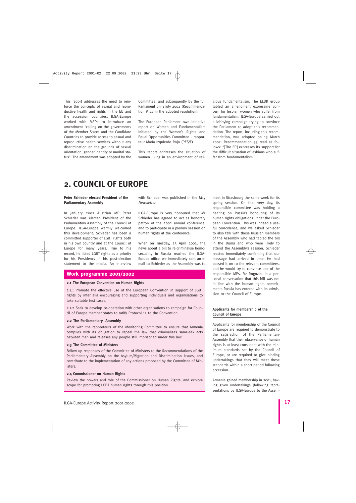This report addresses the need to reinforce the concepts of sexual and reproductive health and rights in the EU and the accession countries. ILGA-Europe worked with MEPs to introduce an amendment "calling on the governments of the Member States and the Candidate Countries to provide access to sexual and reproductive health services without any discrimination on the grounds of sexual orientation, gender identity or marital status". The amendment was adopted by the Committee, and subsequently by the full Parliament on 3 July 2002 (Recommendation # 24 in the adopted resolution).

The European Parliament own initiative report on Women and Fundamentalism initiated by the Women's Rights and Equal Opportunities Committee – rapporteur María Izquierdo Rojo (PES/E)

This report addresses the situation of women living in an environment of reli-

with Schieder was published in the May

ILGA-Europe is very honoured that Mr Schieder has agreed to act as honorary patron of the 2002 annual conference, and to participate in a plenary session on

When on Tuesday, 23 April 2002, the news about a bill to re-criminalise homosexuality in Russia reached the ILGA-Europe office, we immediately sent an email to Schieder as the Assembly was to

human rights at the conference.

Newsletter.

gious fundamentalism. The ELDR group tabled an amendment expressing concern for lesbian women who suffer from fundamentalism. ILGA-Europe carried out a lobbying campaign trying to convince the Parliament to adopt this recommendation. The report, including this recommendation, was adopted on 13 March 2002. Recommendation 33 read as follows: "[The EP] expresses its support for the difficult situation of lesbians who suffer from fundamentalism."

### **2. COUNCIL OF EUROPE**

#### **Peter Schieder elected President of the Parliamentary Assembly**

In January 2002 Austrian MP Peter Schieder was elected President of the Parliamentary Assembly of the Council of Europe. ILGA-Europe warmly welcomed this development: Schieder has been a committed supporter of LGBT rights both in his own country and at the Council of Europe for many years. True to his record, he listed LGBT rights as a priority for his Presidency in his post-election statement to the media. An interview

#### **Work programme 2001/2002**

#### **2.1 The European Convention on Human Rights**

2.1.1 Promote the effective use of the European Convention in support of LGBT rights by inter alia encouraging and supporting individuals and organisations to take suitable test cases.

2.1.2 Seek to develop co-operation with other organisations to campaign for Council of Europe member states to ratify Protocol 12 to the Convention.

#### **2.2 The Parliamentary Assembly**

Work with the rapporteurs of the Monitoring Committee to ensure that Armenia complies with its obligation to repeal the law that criminalises same-sex acts between men and releases any people still imprisoned under this law.

#### **2.3 The Committee of Ministers**

Follow up responses of the Committee of Ministers to the Recommendations of the Parliamentary Assembly on the Asylum/Migration and Discrimination issues, and contribute to the implementation of any actions proposed by the Committee of Ministers.

#### **2.4 Commissioner on Human Rights**

Review the powers and role of the Commissioner on Human Rights, and explore scope for promoting LGBT human rights through this position.

meet in Strasbourg the same week for its spring session. On that very day, its responsible committee was holding a hearing on Russia's honouring of its human rights obligations under the European Convention. This was indeed a useful coincidence, and we asked Schieder to also talk with those Russian members of the Assembly who had tabled the bill in the Duma and who were likely to attend the Assembly's session. Schieder reacted immediately confirming that our message had arrived in time. He had passed it on to the relevant committees, and he would try to convince one of the responsible MPs, Mr Rogozin, in a personal conversation that this bill was not in line with the human rights commitments Russia has entered with its admission to the Council of Europe.

#### **Applicants for membership of the Council of Europe**

Applicants for membership of the Council of Europe are required to demonstrate to the satisfaction of the Parliamentary Assembly that their observance of human rights is at least consistent with the minimum standards set by the Council of Europe, or are required to give binding undertakings that they will meet these standards within a short period following accession.

Armenia gained membership in 2001, having given undertakings (following representations by ILGA-Europe to the Assem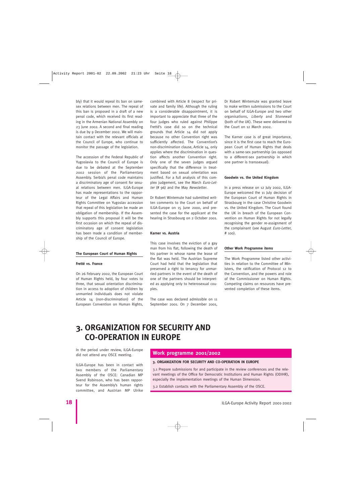bly) that it would repeal its ban on samesex relations between men. The repeal of this ban is proposed in a draft of a new penal code, which received its first reading in the Armenian National Assembly on 23 June 2002. A second and final reading is due by 9 December 2002. We will maintain contact with the relevant officials at the Council of Europe, who continue to monitor the passage of the legislation.

The accession of the Federal Republic of Yugoslavia to the Council of Europe is due to be debated at the September 2002 session of the Parliamentary Assembly. Serbia's penal code maintains a discriminatory age of consent for sexual relations between men. ILGA-Europe has made representations to the rapporteur of the Legal Affairs and Human Rights Committee on Yugoslav accession that repeal of this legislation be made an obligation of membership. If the Assembly supports this proposal it will be the first occasion on which the repeal of discriminatory age of consent legislation has been made a condition of membership of the Council of Europe.

#### **The European Court of Human Rights**

#### **Fretté vs. France**

On 26 February 2002, the European Court of Human Rights held, by four votes to three, that sexual orientation discrimination in access to adoption of children by unmarried individuals does not violate Article 14 (non-discrimination) of the European Convention on Human Rights, combined with Article 8 (respect for private and family life). Although the ruling is a considerable disappointment, it is important to appreciate that three of the four judges who ruled against Philippe Fretté's case did so on the technical grounds that Article 14 did not apply because no other Convention right was sufficiently affected. The Convention's non-discrimination clause, Article 14, only applies where the discrimination in question affects another Convention right. Only one of the seven judges argued specifically that the difference in treatment based on sexual orientation was justified. For a full analysis of this complex judgement, see the March Euro-Letter (# 96) and the May Newsletter.

Dr Robert Wintemute had submitted written comments to the Court on behalf of ILGA-Europe on 15 June 2000, and presented the case for the applicant at the hearing in Strasbourg on 2 October 2001.

#### **Karner vs. Austria**

This case involves the eviction of a gay man from his flat, following the death of his partner in whose name the lease of the flat was held. The Austrian Supreme Court had held that the legislation that preserved a right to tenancy for unmarried partners in the event of the death of one of the partners should be interpreted as applying only to heterosexual couples.

The case was declared admissible on 11 September 2001. On 7 December 2001,

Dr Robert Wintemute was granted leave to make written submissions to the Court on behalf of ILGA-Europe and two other organisations, Liberty and Stonewall (both of the UK). These were delivered to the Court on 12 March 2002.

The Karner case is of great importance, since it is the first case to reach the European Court of Human Rights that deals with a same-sex partnership (as opposed to a different-sex partnership in which one partner is transsexual).

#### **Goodwin vs. the United Kingdom**

In a press release on 12 July 2002, ILGA-Europe welcomed the 11 July decision of the European Court of Human Rights in Strasbourg in the case Christine Goodwin vs. the United Kingdom. The Court found the UK in breach of the European Convention on Human Rights for not legally recognising the gender re-assignment of the complainant (see August Euro-Letter, # 100).

#### **Other Work Programme items**

The Work Programme listed other activities in relation to the Committee of Ministers, the ratification of Protocol 12 to the Convention, and the powers and role of the Commissioner on Human Rights. Competing claims on resources have prevented completion of these items.

### **3. ORGANIZATION FOR SECURITY AND CO-OPERATION IN EUROPE**

In the period under review, ILGA-Europe did not attend any OSCE meeting.

ILGA-Europe has been in contact with two members of the Parliamentary Assembly of the OSCE: Canadian MP Svend Robinson, who has been rapporteur for the Assembly's human rights committee, and Austrian MP Ulrike

#### **Work programme 2001/2002**

#### **3. ORGANIZATION FOR SECURITY AND CO-OPERATION IN EUROPE**

3.1 Prepare submissions for and participate in the review conferences and the relevant meetings of the Office for Democratic Institutions and Human Rights (ODIHR), especially the implementation meetings of the Human Dimension.

3.2 Establish contacts with the Parliamentary Assembly of the OSCE.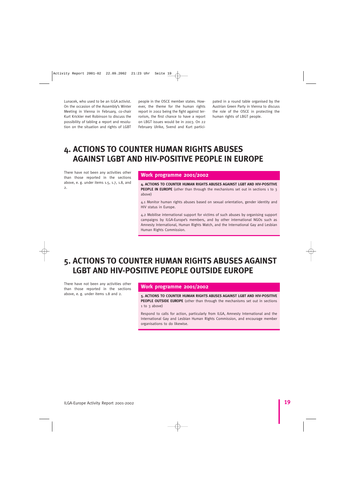Lunacek, who used to be an ILGA activist. On the occasion of the Assembly's Winter Meeting in Vienna in February, co-chair Kurt Krickler met Robinson to discuss the possibility of tabling a report and resolution on the situation and rights of LGBT people in the OSCE member states. However, the theme for the human rights report in 2002 being the fight against terrorism, the first chance to have a report on LBGT issues would be in 2003. On 22 February Ulrike, Svend and Kurt partici-

pated in a round table organised by the Austrian Green Party in Vienna to discuss the role of the OSCE in protecting the human rights of LBGT people.

### **4. ACTIONS TO COUNTER HUMAN RIGHTS ABUSES AGAINST LGBT AND HIV-POSITIVE PEOPLE IN EUROPE**

There have not been any activities other than those reported in the sections above, e. g. under items 1.5, 1.7, 1.8, and  $\overline{2}$ 

#### **Work programme 2001/2002**

**4. ACTIONS TO COUNTER HUMAN RIGHTS ABUSES AGAINST LGBT AND HIV-POSITIVE PEOPLE IN EUROPE** (other than through the mechanisms set out in sections 1 to 3 above)

4.1 Monitor human rights abuses based on sexual orientation, gender identity and HIV status in Europe.

4.2 Mobilise international support for victims of such abuses by organising support campaigns by ILGA-Europe's members, and by other international NGOs such as Amnesty International, Human Rights Watch, and the International Gay and Lesbian Human Rights Commission.

### **5. ACTIONS TO COUNTER HUMAN RIGHTS ABUSES AGAINST LGBT AND HIV-POSITIVE PEOPLE OUTSIDE EUROPE**

There have not been any activities other than those reported in the sections

#### **Work programme 2001/2002**

above, e. g. under items 1.8 and 2. **5. ACTIONS TO COUNTER HUMAN RIGHTS ABUSES AGAINST LGBT AND HIV-POSITIVE PEOPLE OUTSIDE EUROPE** (other than through the mechanisms set out in sections 1 to 3 above)

> Respond to calls for action, particularly from ILGA, Amnesty International and the International Gay and Lesbian Human Rights Commission, and encourage member organisations to do likewise.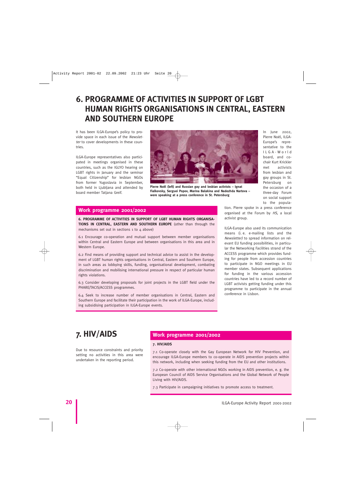### **6. PROGRAMME OF ACTIVITIES IN SUPPORT OF LGBT HUMAN RIGHTS ORGANISATIONS IN CENTRAL, EASTERN AND SOUTHERN EUROPE**

It has been ILGA-Europe's policy to provide space in each issue of the Newsletter to cover developments in these countries.

ILGA-Europe representatives also participated in meetings organised in these countries, such as the IGLYO hearing on LGBT rights in January and the seminar "Equal Citizenship" for lesbian NGOs from former Yugoslavia in September, both held in Ljubljana and attended by board member Tatjana Greif.



**Pierre Noël (left) and Russian gay and lesbian activists – Ignat Fialkovsky, Serguei Popov, Marina Balakina and Nadezhda Nartova – were speaking at a press conference in St. Petersburg**

In June 2002, Pierre Noël, ILGA-Europe's representative to the ILGA-World board, and cochair Kurt Krickler met activists from lesbian and gay groups in St. Petersburg on the occasion of a three-day Forum on social support to the popula-

#### **Work programme 2001/2002**

**6. PROGRAMME OF ACTIVITIES IN SUPPORT OF LGBT HUMAN RIGHTS ORGANISA-TIONS IN CENTRAL, EASTERN AND SOUTHERN EUROPE** (other than through the mechanisms set out in sections 1 to 4 above)

6.1 Encourage co-operation and mutual support between member organisations within Central and Eastern Europe and between organisations in this area and in Western Europe.

6.2 Find means of providing support and technical advice to assist in the development of LGBT human rights organisations in Central, Eastern and Southern Europe, in such areas as lobbying skills, funding, organisational development, combating discrimination and mobilising international pressure in respect of particular human rights violations.

6.3 Consider developing proposals for joint projects in the LGBT field under the PHARE/TACIS/ACCESS programmes.

6.4 Seek to increase number of member organisations in Central, Eastern and Southern Europe and facilitate their participation in the work of ILGA-Europe, including subsidising participation in ILGA-Europe events.

tion. Pierre spoke in a press conference organised at the Forum by HS, a local activist group.

ILGA-Europe also used its communication means (i. e. e-mailing lists and the Newsletter) to spread information on relevant EU funding possibilities, in particular the Networking Facilities strand of the ACCESS programme which provides funding for people from accession countries to participate in NGO meetings in EU member states. Subsequent applications for funding in the various accession countries have led to a record number of LGBT activists getting funding under this programme to participate in the annual conference in Lisbon.

Due to resource constraints and priority setting no activities in this area were undertaken in the reporting period.

### **7. HIV/AIDS Work programme 2001/2002**

#### **7. HIV/AIDS**

7.1 Co-operate closely with the Gay European Network for HIV Prevention, and encourage ILGA-Europe members to co-operate in AIDS prevention projects within this network, including when seeking funding from the EU and other institutions.

7.2 Co-operate with other international NGOs working in AIDS prevention, e. g. the European Council of AIDS Service Organisations and the Global Network of People Living with HIV/AIDS.

7.3 Participate in campaigning initiatives to promote access to treatment.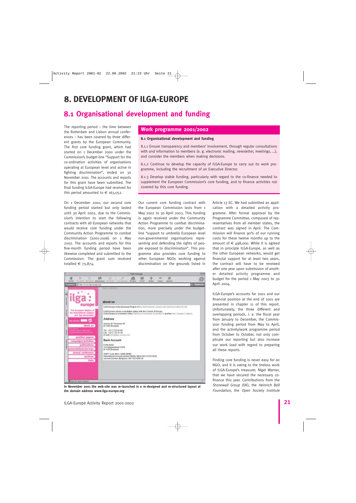### **8. DEVELOPMENT OF ILGA-EUROPE**

### **8.1 Organisational development and funding**

The reporting period – the time between the Rotterdam and Lisbon annual conferences – has been covered by three different grants by the European Community. The first core funding grant, which had started on 1 December 2000 under the Commission's budget-line "Support for the co-ordination activities of organisations operating at European level and active in fighting discrimination", ended on 30 November 2001. The accounts and reports for this grant have been submitted. The final funding ILGA-Europe had received for this period amounted to  $\in$  163,052.

On 1 December 2001, our second core funding period started but only lasted until 30 April 2002, due to the Commission's intention to start the following contracts with all European networks that would receive core funding under the Community Action Programme to combat discrimination (2001-2006) on 1 May 2002. The accounts and reports for this five-month funding period have been likewise completed and submitted to the Commission. The grant sum received totalled  $\epsilon$  75,874.

O

#### **Work programme 2001/2002**

#### **8.1 Organisational development and funding**

8.1.1 Ensure transparency and members' involvement, through regular consultations with and information to members (e. g. electronic mailing, newsletter, meetings, …), and consider the members when making decisions.

8.1.2 Continue to develop the capacity of ILGA-Europe to carry out its work programme, including the recruitment of an Executive Director.

8.1.3 Develop stable funding, particularly with regard to the co-finance needed to supplement the European Commission's core funding, and to finance activities not covered by this core funding.

Our current core funding contract with the European Commission lasts from 1 May 2002 to 30 April 2003. This funding is again received under the Community Action Programme to combat discrimination, more precisely under the budgetline "support to umbrella European level non-governmental organisations representing and defending the rights of people exposed to discrimination". This programme also provides core funding to other European NGOs working against discrimination on the grounds listed in Article 13 EC. We had submitted an application with a detailed activity programme. After formal approval by the Programme Committee, composed of representatives from all member states, the contract was signed in April. The Commission will finance 90% of our running costs for these twelve months up to the amount of  $\epsilon$  498,000. While it is agreed that in principle ILGA-Europe, as well as the other European networks, would get financial support for at least two years, the contract will have to be renewed after one year upon submission of another detailed activity programme and budget for the period 1 May 2003 to 30 April 2004.

ILGA-Europe's accounts for 2001 and our financial position at the end of 2001 are presented in chapter 11 of this report. Unfortunately, the three different and overlapping periods, i. e. the fiscal year from January to December, the Commission funding period from May to April, and the activity/work programme period from October to October, not only complicate our reporting but also increase our work load with regard to preparing all these reports.

Finding core funding is never easy for an NGO, and it is owing to the tireless work of ILGA-Europe's treasurer, Nigel Warner, that we have secured the necessary cofinance this year. Contributions from the Stonewall Group (UK), the Heinrich Böll Foundation, the Open Society Institute

| europe                                                                     | ILOA-Europe is the European Region of the International Leabor and Cay Association (CGA).                                                                              |
|----------------------------------------------------------------------------|------------------------------------------------------------------------------------------------------------------------------------------------------------------------|
| The European Begins of<br>the International Leablan<br>and tay Association | ILOA-Eurique engous consultative status with the Counsil of Europe.<br>LOA-Egrape Is a member of the Platform of European Social HOOs and the Plats Tilerate Continue. |
| <b>CO Records</b>                                                          | <b>Address</b>                                                                                                                                                         |
| about us.                                                                  | averes de Tenneren 94<br>D-1046 Shumakin                                                                                                                               |
| ----                                                                       | Tel: 132-2 T32 54 88<br>Fax: +33-2 732 51 64<br>E-mail: Introdizion due sprison y                                                                                      |
| position papers.                                                           |                                                                                                                                                                        |
| campaigns/activities                                                       | Bank Account                                                                                                                                                           |
| publications                                                               | Facts liser<br>Vooraligangsbraat 339/9                                                                                                                                 |
| presentations/surveys                                                      | B-1038 Brunsels                                                                                                                                                        |
| annual conference<br>archives                                              | SPAFT LOAN (BRC), GEEN DEERS<br>International account number (BME) DE46 1013 1233 9036<br>account sumber (Beigunt: 001-3523396-38)                                     |
| links:                                                                     |                                                                                                                                                                        |
|                                                                            |                                                                                                                                                                        |
|                                                                            |                                                                                                                                                                        |
|                                                                            |                                                                                                                                                                        |
| Eleve War Askude Companier                                                 |                                                                                                                                                                        |

**ILGA-Except**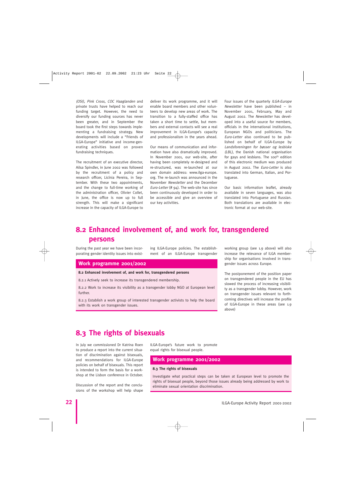(OSI), Pink Cross, COC Haaglanden and private trusts have helped to reach our funding target. However, the need to diversify our funding sources has never been greater, and in September the board took the first steps towards implementing a fundraising strategy. New developments will include a "Friends of ILGA-Europe" initiative and income-generating activities based on proven fundraising techniques.

The recruitment of an executive director, Ailsa Spindler, in June 2002 was followed by the recruitment of a policy and research officer, Licínia Pereira, in September. With these two appointments, and the change to full-time working of the administration officer, Olivier Collet, in June, the office is now up to full strength. This will make a significant increase in the capacity of ILGA-Europe to deliver its work programme, and it will enable board members and other volunteers to develop new areas of work. The transition to a fully-staffed office has taken a short time to settle, but members and external contacts will see a real improvement in ILGA-Europe's capacity and professionalism in the years ahead.

Our means of communication and information have also dramatically improved. In November 2001, our web-site, after having been completely re-designed and re-structured, was re-launched at our own domain address: www.ilga-europe. org. The re-launch was announced in the November Newsletter and the December Euro-Letter (#  $94$ ). The web-site has since been continuously developed in order to be accessible and give an overview of our key activities.

Four issues of the quarterly ILGA-Europe Newsletter have been published – in November 2001, February, May and August 2002. The Newsletter has developed into a useful source for members, officials in the international institutions, European NGOs and politicians. The Euro-Letter also continued to be published on behalf of ILGA-Europe by Landsforeningen for bøsser og lesbiske (LBL), the Danish national organisation for gays and lesbians. The 100<sup>th</sup> edition of this electronic medium was produced in August 2002. The Euro-Letter is also translated into German, Italian, and Portuguese.

Our basic information leaflet, already available in seven languages, was also translated into Portuguese and Russian. Both translations are available in electronic format at our web-site.

### **8.2 Enhanced involvement of, and work for, transgendered persons**

During the past year we have been incorporating gender identity issues into existing ILGA-Europe policies. The establishment of an ILGA-Europe transgender

#### **Work programme 2001/2002**

#### **8.2 Enhanced involvement of, and work for, transgendered persons**

8.2.1 Actively seek to increase its transgendered membership.

8.2.2 Work to increase its visibility as a transgender lobby NGO at European level further.

8.2.3 Establish a work group of interested transgender activists to help the board with its work on transgender issues.

working group (see 1.9 above) will also increase the relevance of ILGA membership for organisations involved in transgender issues across Europe.

The postponement of the position paper on transgendered people in the EU has slowed the process of increasing visibility as a transgender lobby. However, work on transgender issues relevant to forthcoming directives will increase the profile of ILGA-Europe in these areas (see 1.9 above)

### **8.3 The rights of bisexuals**

In July we commissioned Dr Katrina Roen to produce a report into the current situation of discrimination against bisexuals, and recommendations for ILGA-Europe policies on behalf of bisexuals. This report is intended to form the basis for a workshop at the Lisbon conference in October.

Discussion of the report and the conclusions of the workshop will help shape ILGA-Europe's future work to promote equal rights for bisexual people.

#### **Work programme 2001/2002**

#### **8.3 The rights of bisexuals**

Investigate what practical steps can be taken at European level to promote the rights of bisexual people, beyond those issues already being addressed by work to eliminate sexual orientation discrimination.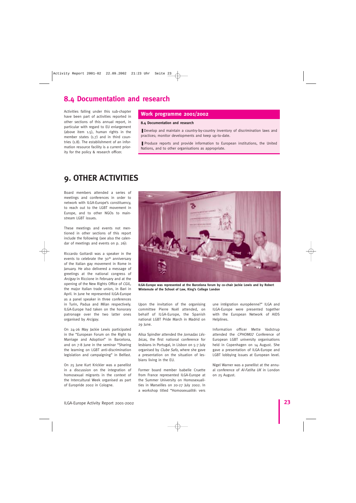### **8.4 Documentation and research**

Activities falling under this sub-chapter have been part of activities reported in other sections of this annual report, in particular with regard to EU enlargement (above item 1.5), human rights in the member states (1.7) and in third countries (1.8). The establishment of an information resource facility is a current priority for the policy & research officer.

#### **Work programme 2001/2002**

#### **8.4 Documentation and research**

■ Develop and maintain a country-by-country inventory of discrimination laws and practices; monitor developments and keep up-to-date.

■ Produce reports and provide information to European institutions, the United Nations, and to other organisations as appropriate.

### **9. OTHER ACTIVITIES**

Board members attended a series of meetings and conferences in order to network with ILGA-Europe's constituency, to reach out to the LGBT movement in Europe, and to other NGOs to mainstream LGBT issues.

These meetings and events not mentioned in other sections of this report include the following (see also the calendar of meetings and events on p. 26):

Riccardo Gottardi was a speaker in the events to celebrate the 30<sup>th</sup> anniversary of the Italian gay movement in Rome in January. He also delivered a message of greetings at the national congress of Arcigay in Riccione in February and at the opening of the New Rights Office of CGIL, the major Italian trade union, in Bari in April. In June he represented ILGA-Europe as a panel speaker in three conferences in Turin, Padua and Milan respectively. ILGA-Europe had taken on the honorary patronage over the two latter ones organised by Arcigay.

On 24-26 May Jackie Lewis participated in the "European Forum on the Right to Marriage and Adoption" in Barcelona, and on 7-8 June in the seminar "Sharing the learning on LGBT anti-discrimination legislation and campaigning" in Belfast.

On 25 June Kurt Krickler was a panellist in a discussion on the integration of homosexual migrants in the context of the Intercultural Week organised as part of Europride 2002 in Cologne.



**ILGA-Europe was represented at the Barcelona forum by co-chair Jackie Lewis and by Robert Wintemute of the School of Law, King's College London**

Upon the invitation of the organising committee Pierre Noël attended, on behalf of ILGA-Europe, the Spanish national LGBT Pride March in Madrid on 29 June.

Ailsa Spindler attended the Jornadas Lésbicas, the first national conference for lesbians in Portugal, in Lisbon on 5-7 July organised by Clube Safo, where she gave a presentation on the situation of lesbians living in the EU.

Former board member Isabelle Cruette from France represented ILGA-Europe at the Summer University on Homosexualities in Marseilles on 20-27 July 2002. In a workshop titled "Homosexualité: vers une intégration européenne?" ILGA and ILGA-Europe were presented together with the European Network of AIDS Helplines.

Information officer Mette Vadstrup attended the CPHOM<sup>02</sup> Conference of European LGBT university organisations held in Copenhagen on 14 August. She gave a presentation of ILGA-Europe and LGBT lobbying issues at European level.

Nigel Warner was a panellist at the annual conference of Al-Fatiha UK in London on 25 August.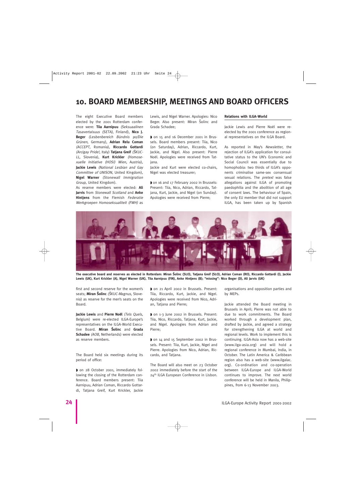### **10. BOARD MEMBERSHIP, MEETINGS AND BOARD OFFICERS**

The eight Executive Board members elected by the 2001 Rotterdam conference were: **Tiia Aarnipuu** (Seksuaalinen Tasavertaisuus (SETA), Finland), **Nico J. Beger** (Lesbenbereich Bündnis 90/Die Grünen, Germany), **Adrian Relu Coman** (ACCEPT, Romania), **Riccardo Gottardi** (Arcigay Pride!, Italy) **Tatjana Greif** (S˘KUC-LL, Slovenia), **Kurt Krickler** (Homosexuelle Initiative (HOSI) Wien, Austria), **Jackie Lewis** (National Lesbian and Gay Committee of UNISON, United Kingdom), **Nigel Warner** (Stonewall Immigration Group, United Kingdom).

As reserve members were elected: **Ali Jarvis** from Stonewall Scotland and **Anke Hintjens** from the Flemish Federatie Werkgroepen Homoseksualiteit (FWH) as Lewis, and Nigel Warner. Apologies: Nico Beger. Also present: Miran Solinc and Grada Schadee;

◗ on 15 and 16 December 2001 in Brussels. Board members present: Tiia, Nico (on Saturday), Adrian, Riccardo, Kurt, Jackie, and Nigel. Also present: Pierre Noël. Apologies were received from Tatjana.

Jackie and Kurt were elected co-chairs, Nigel was elected treasurer;

◗ on 16 and 17 February 2002 in Brussels: Present: Tiia, Nico, Adrian, Riccardo, Tatjana, Kurt, Jackie, and Nigel (on Sunday). Apologies were received from Pierre;

#### **Relations with ILGA-World**

Jackie Lewis and Pierre Noël were reelected by the 2001 conference as regional representatives on the ILGA Board.

As reported in May's Newsletter, the rejection of ILGA's application for consultative status to the UN's Economic and Social Council was essentially due to homophobia: two thirds of ILGA's opponents criminalise same-sex consensual sexual relations. The *pretext* was false allegations against ILGA of promoting paedophilia and the abolition of all age of consent laws. The behaviour of Spain, the only EU member that did not support ILGA, has been taken up by Spanish



**The executive board and reserves as elected in Rotterdam: Miran S˘olinc (SLO), Tatjana Greif (SLO), Adrian Coman (RO), Riccardo Gottardi (I), Jackie Lewis (UK), Kurt Krickler (A), Nigel Warner (UK), Tiia Aarnipuu (FIN), Anke Hintjens (B); "missing": Nico Beger (D), Ali Jarvis (UK)**

first and second reserve for the women's seats: **Miran Šolinc** (ŠKUC-Magnus, Slovenia) as reserve for the men's seats on the Board.

**Jackie Lewis** and **Pierre Noël** (Tels Quels, Belgium) were re-elected ILGA-Europe's representatives on the ILGA-World Executive Board. **Miran S˘olinc** and **Grada Schadee** (AOB, Netherlands) were elected as reserve members.

The Board held six meetings during its period of office:

◗ on 28 October 2001, immediately following the closing of the Rotterdam conference. Board members present: Tiia Aarnipuu, Adrian Coman, Riccardo Gottardi, Tatjana Greif, Kurt Krickler, Jackie ◗ on 21 April 2002 in Brussels. Present: Tiia, Riccardo, Kurt, Jackie, and Nigel. Apologies were received from Nico, Adrian, Tatjana and Pierre;

◗ on 1-3 June 2002 in Brussels. Present: Tiia, Nico, Riccardo, Tatjana, Kurt, Jackie, and Nigel. Apologies from Adrian and Pierre;

◗ on 14 and 15 September 2002 in Brussels. Present: Tiia, Kurt, Jackie, Nigel and Pierre. Apologies from Nico, Adrian, Riccardo, and Tatjana.

The Board will also meet on 23 October 2002 immediately before the start of the 24th ILGA European Conference in Lisbon. organisations and opposition parties and by MEPs.

Jackie attended the Board meeting in Brussels in April; Pierre was not able to due to work commitments. The Board worked through a development plan, drafted by Jackie, and agreed a strategy for strengthening ILGA at world and regional levels. Work to implement this is continuing. ILGA-Asia now has a web-site (www.ilga-asia.org) and will hold a regional conference in Mumbai, India, in October. The Latin America & Caribbean region also has a web-site (www.ilgalac. org). Co-ordination and co-operation between ILGA-Europe and ILGA-World continues to improve. The next world conference will be held in Manila, Philippines, from 6-13 November 2003.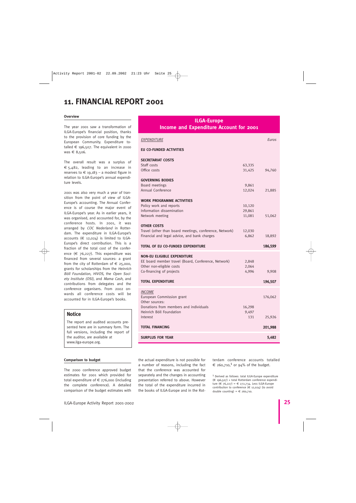### **11. FINANCIAL REPORT 2001**

#### **Overview**

The year 2001 saw a transformation of ILGA-Europe's financial position, thanks to the provision of core funding by the European Community. Expenditure totalled  $\epsilon$  196,507. The equivalent in 2000 was € 8,506.

The overall result was a surplus of € 5,482, leading to an increase in reserves to  $\epsilon$  19,183 – a modest figure in relation to ILGA-Europe's annual expenditure levels.

2001 was also very much a year of transition from the point of view of ILGA-Europe's accounting. The Annual Conference is of course the major event of ILGA-Europe's year. As in earlier years, it was organised, and accounted for, by the conference hosts. In 2001, it was arranged by COC Nederland in Rotterdam. The expenditure in ILGA-Europe's accounts  $(6 \t 12,024)$  is limited to ILGA-Europe's direct contribution. This is a fraction of the total cost of the conference  $(\epsilon$  76,227). This expenditure was financed from several sources: a grant from the city of Rotterdam of  $\epsilon$  25,000, grants for scholarships from the Heinrich Böll Foundation, HIVOS, the Open Society Institute (OSI), and Mama Cash, and contributions from delegates and the conference organisers. From 2002 onwards all conference costs will be accounted for in ILGA-Europe's books.

#### **Notice**

The report and audited accounts presented here are in summary form. The full versions, including the report of the auditor, are available at www.ilga-europe.org.

#### **Comparison to budget**

The 2000 conference approved budget estimates for 2001 which provided for total expenditure of  $\epsilon$  276,000 (including the complete conference). A detailed comparison of the budget estimates with

#### **ILGA-Europe Income and Expenditure Account for 2001**

| EXPENDITURE                                             |                  | Euros   |  |  |  |
|---------------------------------------------------------|------------------|---------|--|--|--|
| <b>EU CO-FUNDED ACTIVITIES</b>                          |                  |         |  |  |  |
| <b>SECRETARIAT COSTS</b>                                |                  |         |  |  |  |
| Staff costs<br>Office costs                             | 63,335<br>31,425 | 94,760  |  |  |  |
|                                                         |                  |         |  |  |  |
| <b>GOVERNING BODIES</b><br>Board meetings               | 9,861            |         |  |  |  |
| Annual Conference                                       | 12,024           | 21,885  |  |  |  |
| <b>WORK PROGRAMME ACTIVITIES</b>                        |                  |         |  |  |  |
| Policy work and reports                                 | 10,120           |         |  |  |  |
| Information dissemination                               | 29,861           |         |  |  |  |
| Network meeting                                         | 11,081           | 51,062  |  |  |  |
|                                                         |                  |         |  |  |  |
| <b>OTHER COSTS</b>                                      |                  |         |  |  |  |
| Travel (other than board meetings, conference, Network) | 12,030           |         |  |  |  |
| Financial and legal advice, and bank charges            | 6,862            | 18,892  |  |  |  |
| TOTAL OF EU CO-FUNDED EXPENDITURE                       |                  | 186,599 |  |  |  |
| <b>NON-EU ELIGIBLE EXPENDITURE</b>                      |                  |         |  |  |  |
| EE board member travel (Board, Conference, Network)     | 2,848            |         |  |  |  |
| Other non-eligible costs                                | 2,064            |         |  |  |  |
| Co-financing of projects                                | 4,996            | 9,908   |  |  |  |
| <b>TOTAL EXPENDITURE</b>                                |                  | 196,507 |  |  |  |
|                                                         |                  |         |  |  |  |
| <b>INCOME</b>                                           |                  |         |  |  |  |
| European Commission grant<br>Other sources:             |                  | 176,062 |  |  |  |
| Donations from members and individuals                  | 16,298           |         |  |  |  |
| Heinrich Böll Foundation                                | 9,497            |         |  |  |  |
| Interest                                                | 131              | 25,926  |  |  |  |
|                                                         |                  |         |  |  |  |
| <b>TOTAL FINANCING</b>                                  |                  | 201,988 |  |  |  |
| <b>SURPLUS FOR YEAR</b>                                 |                  | 5,482   |  |  |  |

the actual expenditure is not possible for a number of reasons, including the fact that the conference was accounted for separately and the changes in accounting presentation referred to above. However the total of the expenditure incurred in the books of ILGA-Europe and in the Rotterdam conference accounts totalled  $\epsilon$  260,710,<sup>1</sup> or 94% of the budget.

1 Derived as follows: total ILGA-Europe expenditure (€ 196,507) + total Rotterdam conference expenditure  $( \in 76, 227) = 6272, 734$ . Less ILGA-Europe contribution to conference  $(\epsilon$  12,024) (to avoid double counting) =  $\epsilon$  260,710.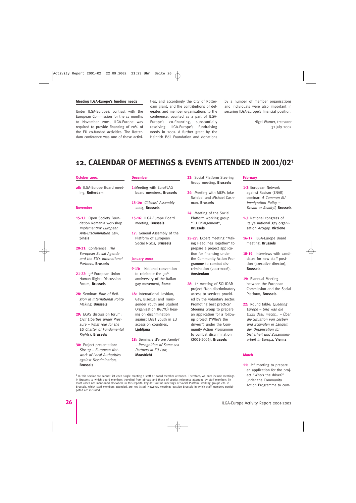#### **Meeting ILGA-Europe's funding needs**

Under ILGA-Europe's contract with the European Commission for the 12 months to November 2001, ILGA-Europe was required to provide financing of 20% of the EU co-funded activities. The Rotterdam conference was one of these activities, and accordingly the City of Rotterdam grant, and the contributions of delegates and member organisations to the conference, counted as a part of ILGA-Europe's co-financing, substantially resolving ILGA-Europe's fundraising needs in 2001. A further grant by the Heinrich Böll Foundation and donations

by a number of member organisations and individuals were also important in securing ILGA-Europe's financial position.

> Nigel Warner, treasurer 31 July 2002

### **12. CALENDAR OF MEETINGS & EVENTS ATTENDED IN 2001/021**

#### **October 2001**

**28:** ILGA-Europe Board meeting, **Rotterdam**

#### **November**

- **15-17:** Open Society Foundation Romania workshop: Implementing European Anti-Discrimination Law, **Sinaia**
- **20-21:** Conference: The European Social Agenda and the EU's International Partners, **Brussels**
- **21-22:** 3rd European Union Human Rights Discussion Forum, **Brussels**
- **28:** Seminar: Role of Religion in International Policy Making, **Brussels**
- **29:** ECAS discussion forum: Civil Liberties under Pressure – What role for the EU Charter of Fundamental Rights?, **Brussels**
- **30:** Project presentation: Site 13 – European Network of Local Authorities against Discrimination, **Brussels**

#### **December**

- **1:**Meeting with EuroFLAG board members, **Brussels**
- **13-14:** Citizens' Assembly 2004, **Brussels**
- **15-16:** ILGA-Europe Board meeting, **Brussels**
- **17:** General Assembly of the Platform of European Social NGOs, **Brussels**

#### **January 2002**

- **9-13:** National convention to celebrate the 30<sup>th</sup> anniversary of the Italian gay movement, **Rome**
- **18:** International Lesbian, Gay, Bisexual and Transgender Youth and Student Organisation (IGLYO) hearing on discrimination against LGBT youth in EU accession countries, **Ljubljana**
- 18: Seminar: We are Family? – Recognition of Same-sex Partners in EU Law, **Maastricht**
- **22:** Social Platform Steering Group meeting, **Brussels**
- **24:** Meeting with MEPs Joke Swiebel und Michael Cashman, **Brussels**
- **24:** Meeting of the Social Platform working group "EU Enlargement", **Brussels**
- **25-27:** Expert meeting "Making Headlines Together" to prepare a project application for financing under the Community Action Programme to combat discrimination (2001-2006), **Amsterdam**
- 28: 1<sup>st</sup> meeting of SOLIDAR project "Non-discriminatory access to services provided by the voluntary sector: Promoting best practice" Steering Group to prepare an application for a followup project ("Who's the driver?") under the Community Action Programme to combat discrimination (2001-2006), **Brussels**

#### **February**

- **1-2:** European Network against Racism (ENAR) seminar: A Common EU Immigration Policy – Dream or Reality?, **Brussels**
- **1-3:** National congress of Italy's national gay organisation Arcigay, **Riccione**
- **16-17:** ILGA-Europe Board meeting, **Brussels**
- **18-19:** Interviews with candidates for new staff position (executive director), **Brussels**
- **19:** Biannual Meeting between the European Commission and the Social Platform, **Brussels**
- 22: Round table: Queering Europe – Und was die OSZE dazu macht... – Über die Situation von Lesben und Schwulen in Ländern der Organisation für Sicherheit und Zusammenarbeit in Europa, **Vienna**

#### **March**

11: 2<sup>nd</sup> meeting to prepare an application for the project "Who's the driver?" under the Community Action Programme to com-

 $1$  In this section we cannot list each single meeting a staff or board member attended. Therefore, we only include meetings in Brussels to which board members travelled from abroad and those of special relevance attended by staff members (in most cases not mentioned elsewhere in this report). Regular routine meetings of Social Platform working groups etc. in Brussels, which staff members attended, are not listed. However, meetings outside Brussels in which staff members participated are included.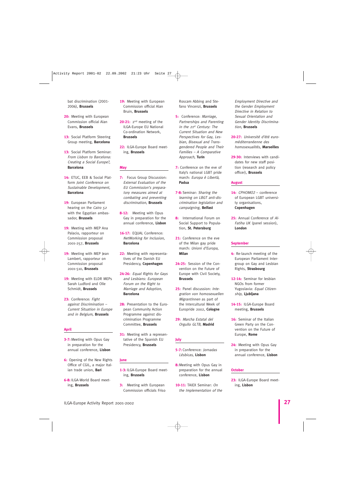bat discrimination (2001- 2006), **Brussels**

- **20:** Meeting with European Commission official Alan Evans, **Brussels**
- **13:** Social Platform Steering Group meeting, **Barcelona**
- **13:** Social Platform Seminar: From Lisbon to Barcelona: Creating a Social Europe?, **Barcelona**
- **14:** ETUC, EEB & Social Platform Joint Conference on Sustainable Development, **Barcelona**
- **19:** European Parliament hearing on the Cairo 52 with the Egyptian ambassador, **Brussels**
- **19:** Meeting with MEP Ana Palacio, rapporteur on Commission proposal 2001-257, **Brussels**
- 19: Meeting with MEP Jean Lambert, rapporteur on Commission proposal 2001-510, **Brussels**
- **19:** Meeting with ELDR MEPs Sarah Ludford and Olle Schmidt, **Brussels**
- **23:** Conference: Fight against Discrimination – Current Situation in Europe and in Belgium, **Brussels**

#### **April**

- **3-7:** Meeting with Opus Gay in preparation for the annual conference, **Lisbon**
- **6:** Opening of the New Rights Office of CGIL, a major Italian trade union, **Bari**
- **6-8:** ILGA-World Board meeting, **Brussels**
- **19:** Meeting with European Commission official Alan Bruin, **Brussels**
- 20-21: 2<sup>nd</sup> meeting of the ILGA-Europe EU National Co-ordination Network, **Brussels**
- **22:** ILGA-Europe Board meeting, **Brussels**

#### **May**

- **7:** Focus Group Discussion: External Evaluation of the EU Commission's preparatory measures aimed at combating and preventing discrimination, **Brussels**
- **8-12:** Meeting with Opus Gay in preparation for the annual conference, **Lisbon**
- **16-17:** EQUAL Conference: NetWorking for Inclusion, **Barcelona**
- **22:** Meeting with representatives of the Danish EU Presidency, **Copenhagen**
- **24-26:** Equal Rights for Gays and Lesbians: European Forum on the Right to Marriage and Adoption, **Barcelona**
- **28:** Presentation to the European Community Action Programme against discrimination Programme Committee, **Brussels**
- **31:** Meeting with a representative of the Spanish EU Presidency, **Brussels**

#### **June**

- **1-3:** ILGA-Europe Board meeting, **Brussels**
- **3:** Meeting with European Commission officials Friso

Roscam Abbing and Stefano Vincenzi, **Brussels**

- **5:** Conference: Marriage, Partnerships and Parenting in the 21st Century: The Current Situation and New Perspectives for Gay, Lesbian, Bisexual and Transgendered People and Their Families – A Comparative Approach, **Turin**
- **7:** Conference on the eve of Italy's national LGBT pride march: Europa è Libertà, **Padua**
- **7-8:** Seminar: Sharing the learning on LBGT anti-discrimination legislation and campaigning, **Belfast**
- **8:** International Forum on Social Support to Population, **St. Petersburg**
- 21: Conference on the eve of the Milan gay pride march: Unioni d'Europa, **Milan**
- **24-25:** Session of the Convention on the Future of Europe with Civil Society, **Brussels**
- **25:** Panel discussion: Integration von homosexuellen MigrantInnen as part of the Intercultural Week of Europride 2002, **Cologne**
- **29:** Marcha Estatal del Orgullo GLTB, **Madrid**

#### **July**

- **5-7:** Conference: Jornadas Lésbicas, **Lisbon**
- **8:**Meeting with Opus Gay in preparation for the annual conference, **Lisbon**
- **10-11:** TAIEX Seminar: On the Implementation of the

Employment Directive and the Gender Employment Directive in Relation to Sexual Orientation and Gender Identity Discrimination, **Brussels**

- **20-27:** Université d'été euroméditerranéenne des homosexualités, **Marseilles**
- **29-30:** Interviews with candidates for new staff position (research and policy officer), **Brussels**

#### **August**

- **14:** CPHOMO<sup>2</sup> conference of European LGBT university organisations, **Copenhagen**
- **25:** Annual Conference of Al-Fatiha UK (panel session), **London**

#### **September**

- **4:** Re-launch meeting of the European Parliament Intergroup on Gay and Lesbian Rights, **Strasbourg**
- **12-14:** Seminar for lesbian NGOs from former Yugoslavia: Equal Citizenship, **Ljubljana**
- **14-15:** ILGA-Europe Board meeting, **Brussels**
- 16: Seminar of the Italian Green Party on the Convention on the Future of Europe, **Rome**
- **24:** Meeting with Opus Gay in preparation for the annual conference, **Lisbon**

#### **October**

**23:** ILGA-Europe Board meeting, **Lisbon**